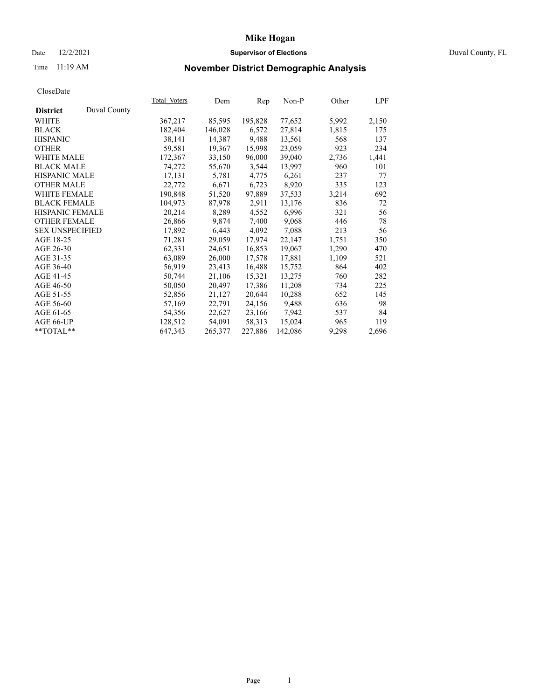### Date 12/2/2021 **Supervisor of Elections** Duval County, FL

## Time 11:19 AM **November District Demographic Analysis**

|                        |              | Total Voters | Dem     | Rep     | Non-P   | Other | LPF   |
|------------------------|--------------|--------------|---------|---------|---------|-------|-------|
| <b>District</b>        | Duval County |              |         |         |         |       |       |
| WHITE                  |              | 367,217      | 85,595  | 195,828 | 77,652  | 5,992 | 2,150 |
| <b>BLACK</b>           |              | 182,404      | 146,028 | 6,572   | 27,814  | 1,815 | 175   |
| <b>HISPANIC</b>        |              | 38,141       | 14,387  | 9,488   | 13,561  | 568   | 137   |
| <b>OTHER</b>           |              | 59,581       | 19,367  | 15,998  | 23,059  | 923   | 234   |
| <b>WHITE MALE</b>      |              | 172,367      | 33,150  | 96,000  | 39,040  | 2,736 | 1,441 |
| <b>BLACK MALE</b>      |              | 74,272       | 55,670  | 3,544   | 13,997  | 960   | 101   |
| <b>HISPANIC MALE</b>   |              | 17,131       | 5,781   | 4,775   | 6,261   | 237   | 77    |
| <b>OTHER MALE</b>      |              | 22,772       | 6,671   | 6,723   | 8,920   | 335   | 123   |
| <b>WHITE FEMALE</b>    |              | 190,848      | 51,520  | 97,889  | 37,533  | 3,214 | 692   |
| <b>BLACK FEMALE</b>    |              | 104,973      | 87,978  | 2,911   | 13,176  | 836   | 72    |
| <b>HISPANIC FEMALE</b> |              | 20,214       | 8,289   | 4,552   | 6,996   | 321   | 56    |
| <b>OTHER FEMALE</b>    |              | 26,866       | 9,874   | 7,400   | 9,068   | 446   | 78    |
| <b>SEX UNSPECIFIED</b> |              | 17,892       | 6,443   | 4,092   | 7,088   | 213   | 56    |
| AGE 18-25              |              | 71,281       | 29,059  | 17,974  | 22,147  | 1,751 | 350   |
| AGE 26-30              |              | 62,331       | 24,651  | 16,853  | 19,067  | 1,290 | 470   |
| AGE 31-35              |              | 63,089       | 26,000  | 17,578  | 17,881  | 1,109 | 521   |
| AGE 36-40              |              | 56,919       | 23,413  | 16,488  | 15,752  | 864   | 402   |
| AGE 41-45              |              | 50,744       | 21,106  | 15,321  | 13,275  | 760   | 282   |
| AGE 46-50              |              | 50,050       | 20,497  | 17,386  | 11,208  | 734   | 225   |
| AGE 51-55              |              | 52,856       | 21,127  | 20,644  | 10,288  | 652   | 145   |
| AGE 56-60              |              | 57,169       | 22,791  | 24,156  | 9,488   | 636   | 98    |
| AGE 61-65              |              | 54,356       | 22,627  | 23,166  | 7,942   | 537   | 84    |
| AGE 66-UP              |              | 128,512      | 54,091  | 58,313  | 15,024  | 965   | 119   |
| $*$ TOTAL $*$          |              | 647,343      | 265,377 | 227,886 | 142,086 | 9,298 | 2,696 |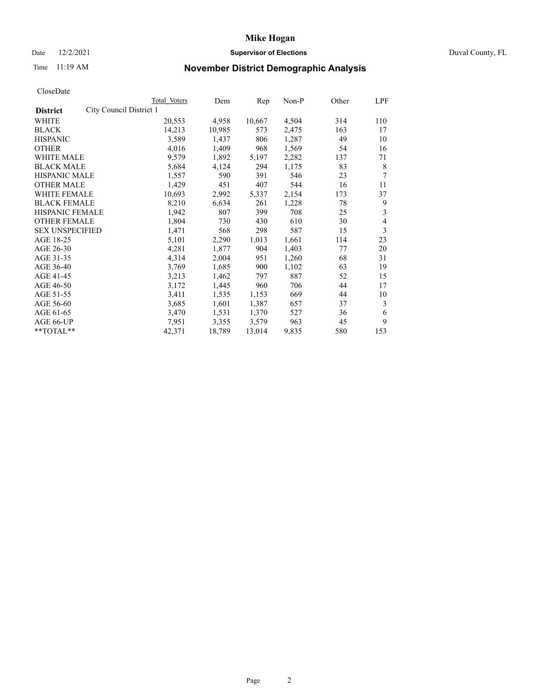### Date 12/2/2021 **Supervisor of Elections Supervisor of Elections** Duval County, FL

## Time 11:19 AM **November District Demographic Analysis**

|                                            | Total Voters | Dem    | Rep    | Non-P | Other | LPF |
|--------------------------------------------|--------------|--------|--------|-------|-------|-----|
| City Council District 1<br><b>District</b> |              |        |        |       |       |     |
| WHITE                                      | 20,553       | 4,958  | 10,667 | 4,504 | 314   | 110 |
| <b>BLACK</b>                               | 14,213       | 10,985 | 573    | 2,475 | 163   | 17  |
| <b>HISPANIC</b>                            | 3,589        | 1,437  | 806    | 1,287 | 49    | 10  |
| <b>OTHER</b>                               | 4,016        | 1,409  | 968    | 1,569 | 54    | 16  |
| <b>WHITE MALE</b>                          | 9,579        | 1,892  | 5,197  | 2,282 | 137   | 71  |
| <b>BLACK MALE</b>                          | 5,684        | 4,124  | 294    | 1,175 | 83    | 8   |
| <b>HISPANIC MALE</b>                       | 1,557        | 590    | 391    | 546   | 23    | 7   |
| <b>OTHER MALE</b>                          | 1,429        | 451    | 407    | 544   | 16    | 11  |
| WHITE FEMALE                               | 10,693       | 2,992  | 5,337  | 2,154 | 173   | 37  |
| <b>BLACK FEMALE</b>                        | 8,210        | 6,634  | 261    | 1,228 | 78    | 9   |
| <b>HISPANIC FEMALE</b>                     | 1,942        | 807    | 399    | 708   | 25    | 3   |
| <b>OTHER FEMALE</b>                        | 1,804        | 730    | 430    | 610   | 30    | 4   |
| <b>SEX UNSPECIFIED</b>                     | 1,471        | 568    | 298    | 587   | 15    | 3   |
| AGE 18-25                                  | 5,101        | 2,290  | 1,013  | 1,661 | 114   | 23  |
| AGE 26-30                                  | 4,281        | 1,877  | 904    | 1,403 | 77    | 20  |
| AGE 31-35                                  | 4,314        | 2,004  | 951    | 1,260 | 68    | 31  |
| AGE 36-40                                  | 3,769        | 1,685  | 900    | 1,102 | 63    | 19  |
| AGE 41-45                                  | 3,213        | 1,462  | 797    | 887   | 52    | 15  |
| AGE 46-50                                  | 3,172        | 1,445  | 960    | 706   | 44    | 17  |
| AGE 51-55                                  | 3,411        | 1,535  | 1,153  | 669   | 44    | 10  |
| AGE 56-60                                  | 3,685        | 1,601  | 1,387  | 657   | 37    | 3   |
| AGE 61-65                                  | 3,470        | 1,531  | 1,370  | 527   | 36    | 6   |
| AGE 66-UP                                  | 7,951        | 3,355  | 3,579  | 963   | 45    | 9   |
| $*$ TOTAL $*$                              | 42,371       | 18,789 | 13,014 | 9,835 | 580   | 153 |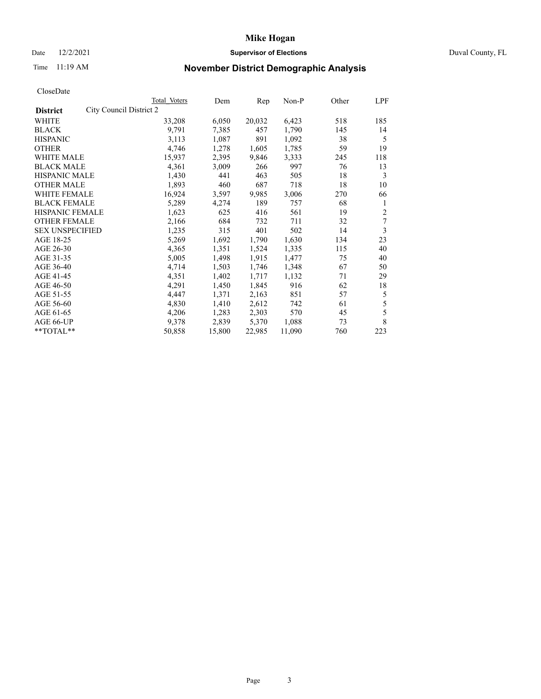### Date 12/2/2021 **Supervisor of Elections Supervisor of Elections** Duval County, FL

## Time 11:19 AM **November District Demographic Analysis**

|                                            | Total Voters | Dem    | Rep    | Non-P  | Other | LPF |
|--------------------------------------------|--------------|--------|--------|--------|-------|-----|
| City Council District 2<br><b>District</b> |              |        |        |        |       |     |
| WHITE                                      | 33,208       | 6,050  | 20,032 | 6,423  | 518   | 185 |
| <b>BLACK</b>                               | 9,791        | 7,385  | 457    | 1,790  | 145   | 14  |
| <b>HISPANIC</b>                            | 3,113        | 1,087  | 891    | 1,092  | 38    | 5   |
| <b>OTHER</b>                               | 4,746        | 1,278  | 1,605  | 1,785  | 59    | 19  |
| <b>WHITE MALE</b>                          | 15,937       | 2,395  | 9,846  | 3,333  | 245   | 118 |
| <b>BLACK MALE</b>                          | 4,361        | 3,009  | 266    | 997    | 76    | 13  |
| <b>HISPANIC MALE</b>                       | 1,430        | 441    | 463    | 505    | 18    | 3   |
| <b>OTHER MALE</b>                          | 1,893        | 460    | 687    | 718    | 18    | 10  |
| WHITE FEMALE                               | 16,924       | 3,597  | 9,985  | 3,006  | 270   | 66  |
| <b>BLACK FEMALE</b>                        | 5,289        | 4,274  | 189    | 757    | 68    | 1   |
| HISPANIC FEMALE                            | 1,623        | 625    | 416    | 561    | 19    | 2   |
| <b>OTHER FEMALE</b>                        | 2,166        | 684    | 732    | 711    | 32    | 7   |
| <b>SEX UNSPECIFIED</b>                     | 1,235        | 315    | 401    | 502    | 14    | 3   |
| AGE 18-25                                  | 5,269        | 1,692  | 1,790  | 1,630  | 134   | 23  |
| AGE 26-30                                  | 4,365        | 1,351  | 1,524  | 1,335  | 115   | 40  |
| AGE 31-35                                  | 5,005        | 1,498  | 1,915  | 1,477  | 75    | 40  |
| AGE 36-40                                  | 4,714        | 1,503  | 1,746  | 1,348  | 67    | 50  |
| AGE 41-45                                  | 4,351        | 1,402  | 1,717  | 1,132  | 71    | 29  |
| AGE 46-50                                  | 4,291        | 1,450  | 1,845  | 916    | 62    | 18  |
| AGE 51-55                                  | 4,447        | 1,371  | 2,163  | 851    | 57    | 5   |
| AGE 56-60                                  | 4,830        | 1,410  | 2,612  | 742    | 61    | 5   |
| AGE 61-65                                  | 4,206        | 1,283  | 2,303  | 570    | 45    | 5   |
| AGE 66-UP                                  | 9,378        | 2,839  | 5,370  | 1,088  | 73    | 8   |
| **TOTAL**                                  | 50,858       | 15,800 | 22,985 | 11,090 | 760   | 223 |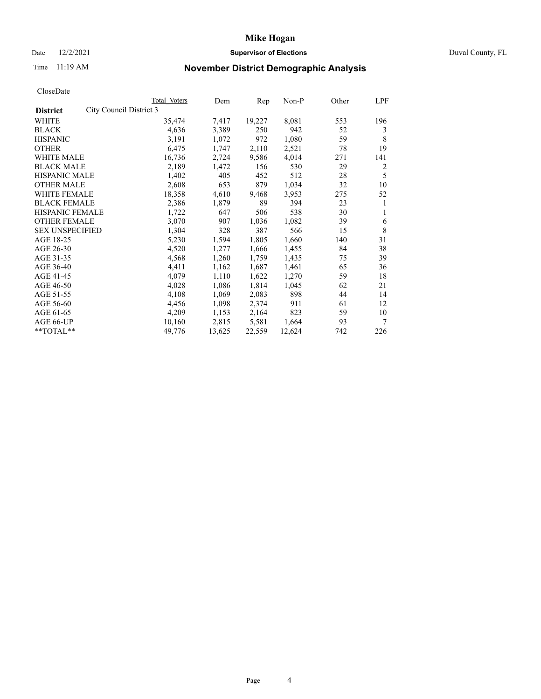### Date 12/2/2021 **Supervisor of Elections Supervisor of Elections** Duval County, FL

## Time 11:19 AM **November District Demographic Analysis**

|                                            | Total Voters | Dem    | Rep    | Non-P  | Other | LPF |
|--------------------------------------------|--------------|--------|--------|--------|-------|-----|
| City Council District 3<br><b>District</b> |              |        |        |        |       |     |
| WHITE                                      | 35,474       | 7,417  | 19,227 | 8,081  | 553   | 196 |
| <b>BLACK</b>                               | 4,636        | 3,389  | 250    | 942    | 52    | 3   |
| <b>HISPANIC</b>                            | 3,191        | 1,072  | 972    | 1,080  | 59    | 8   |
| <b>OTHER</b>                               | 6,475        | 1,747  | 2,110  | 2,521  | 78    | 19  |
| <b>WHITE MALE</b>                          | 16,736       | 2,724  | 9,586  | 4,014  | 271   | 141 |
| <b>BLACK MALE</b>                          | 2,189        | 1,472  | 156    | 530    | 29    | 2   |
| <b>HISPANIC MALE</b>                       | 1,402        | 405    | 452    | 512    | 28    | 5   |
| <b>OTHER MALE</b>                          | 2,608        | 653    | 879    | 1,034  | 32    | 10  |
| WHITE FEMALE                               | 18,358       | 4,610  | 9,468  | 3,953  | 275   | 52  |
| <b>BLACK FEMALE</b>                        | 2,386        | 1,879  | 89     | 394    | 23    | 1   |
| HISPANIC FEMALE                            | 1,722        | 647    | 506    | 538    | 30    | 1   |
| <b>OTHER FEMALE</b>                        | 3,070        | 907    | 1,036  | 1,082  | 39    | 6   |
| <b>SEX UNSPECIFIED</b>                     | 1,304        | 328    | 387    | 566    | 15    | 8   |
| AGE 18-25                                  | 5,230        | 1,594  | 1,805  | 1,660  | 140   | 31  |
| AGE 26-30                                  | 4,520        | 1,277  | 1,666  | 1,455  | 84    | 38  |
| AGE 31-35                                  | 4,568        | 1,260  | 1,759  | 1,435  | 75    | 39  |
| AGE 36-40                                  | 4,411        | 1,162  | 1,687  | 1,461  | 65    | 36  |
| AGE 41-45                                  | 4,079        | 1,110  | 1,622  | 1,270  | 59    | 18  |
| AGE 46-50                                  | 4,028        | 1,086  | 1,814  | 1,045  | 62    | 21  |
| AGE 51-55                                  | 4,108        | 1,069  | 2,083  | 898    | 44    | 14  |
| AGE 56-60                                  | 4,456        | 1,098  | 2,374  | 911    | 61    | 12  |
| AGE 61-65                                  | 4,209        | 1,153  | 2,164  | 823    | 59    | 10  |
| AGE 66-UP                                  | 10,160       | 2,815  | 5,581  | 1,664  | 93    | 7   |
| **TOTAL**                                  | 49,776       | 13,625 | 22,559 | 12,624 | 742   | 226 |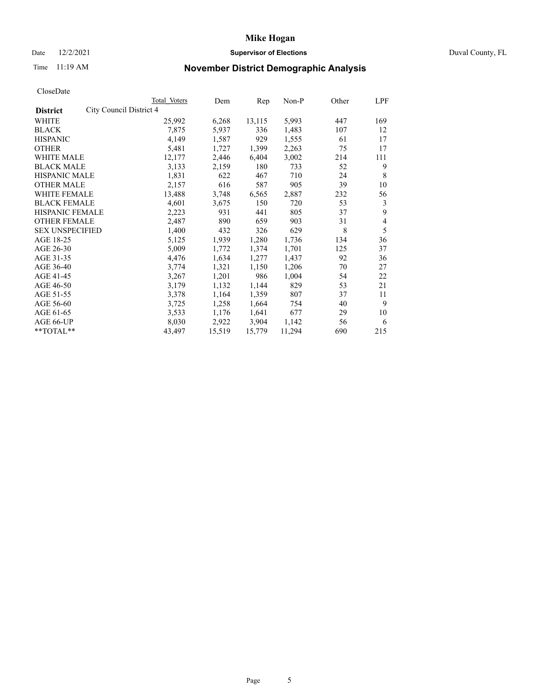### Date 12/2/2021 **Supervisor of Elections Supervisor of Elections** Duval County, FL

## Time 11:19 AM **November District Demographic Analysis**

|                        | Total Voters            | Dem    | Rep    | Non-P  | Other | LPF |
|------------------------|-------------------------|--------|--------|--------|-------|-----|
| <b>District</b>        | City Council District 4 |        |        |        |       |     |
| WHITE                  | 25,992                  | 6,268  | 13,115 | 5,993  | 447   | 169 |
| <b>BLACK</b>           | 7,875                   | 5,937  | 336    | 1,483  | 107   | 12  |
| <b>HISPANIC</b>        | 4,149                   | 1,587  | 929    | 1,555  | 61    | 17  |
| <b>OTHER</b>           | 5,481                   | 1,727  | 1,399  | 2,263  | 75    | 17  |
| <b>WHITE MALE</b>      | 12,177                  | 2,446  | 6,404  | 3,002  | 214   | 111 |
| <b>BLACK MALE</b>      | 3,133                   | 2,159  | 180    | 733    | 52    | 9   |
| <b>HISPANIC MALE</b>   | 1,831                   | 622    | 467    | 710    | 24    | 8   |
| <b>OTHER MALE</b>      | 2,157                   | 616    | 587    | 905    | 39    | 10  |
| WHITE FEMALE           | 13,488                  | 3,748  | 6,565  | 2,887  | 232   | 56  |
| <b>BLACK FEMALE</b>    | 4,601                   | 3,675  | 150    | 720    | 53    | 3   |
| HISPANIC FEMALE        | 2,223                   | 931    | 441    | 805    | 37    | 9   |
| <b>OTHER FEMALE</b>    | 2,487                   | 890    | 659    | 903    | 31    | 4   |
| <b>SEX UNSPECIFIED</b> | 1,400                   | 432    | 326    | 629    | 8     | 5   |
| AGE 18-25              | 5,125                   | 1,939  | 1,280  | 1,736  | 134   | 36  |
| AGE 26-30              | 5,009                   | 1,772  | 1,374  | 1,701  | 125   | 37  |
| AGE 31-35              | 4,476                   | 1,634  | 1,277  | 1,437  | 92    | 36  |
| AGE 36-40              | 3,774                   | 1,321  | 1,150  | 1,206  | 70    | 27  |
| AGE 41-45              | 3,267                   | 1,201  | 986    | 1,004  | 54    | 22  |
| AGE 46-50              | 3,179                   | 1,132  | 1,144  | 829    | 53    | 21  |
| AGE 51-55              | 3,378                   | 1,164  | 1,359  | 807    | 37    | 11  |
| AGE 56-60              | 3,725                   | 1,258  | 1,664  | 754    | 40    | 9   |
| AGE 61-65              | 3,533                   | 1,176  | 1,641  | 677    | 29    | 10  |
| AGE 66-UP              | 8,030                   | 2,922  | 3,904  | 1,142  | 56    | 6   |
| **TOTAL**              | 43,497                  | 15,519 | 15,779 | 11,294 | 690   | 215 |
|                        |                         |        |        |        |       |     |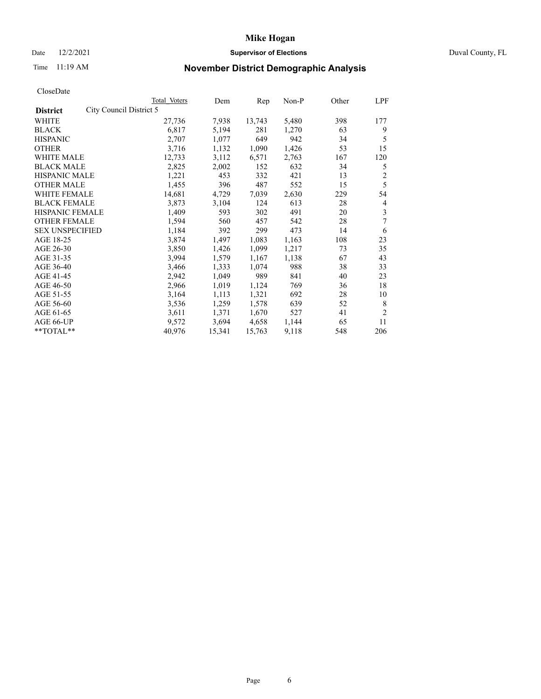### Date 12/2/2021 **Supervisor of Elections Supervisor of Elections** Duval County, FL

## Time 11:19 AM **November District Demographic Analysis**

|                                            | Total Voters | Dem    | Rep    | Non-P | Other | LPF            |
|--------------------------------------------|--------------|--------|--------|-------|-------|----------------|
| City Council District 5<br><b>District</b> |              |        |        |       |       |                |
| WHITE                                      | 27,736       | 7,938  | 13,743 | 5,480 | 398   | 177            |
| <b>BLACK</b>                               | 6,817        | 5,194  | 281    | 1,270 | 63    | 9              |
| <b>HISPANIC</b>                            | 2,707        | 1,077  | 649    | 942   | 34    | 5              |
| <b>OTHER</b>                               | 3,716        | 1,132  | 1,090  | 1,426 | 53    | 15             |
| <b>WHITE MALE</b>                          | 12,733       | 3,112  | 6,571  | 2,763 | 167   | 120            |
| <b>BLACK MALE</b>                          | 2,825        | 2,002  | 152    | 632   | 34    | 5              |
| <b>HISPANIC MALE</b>                       | 1,221        | 453    | 332    | 421   | 13    | $\overline{c}$ |
| <b>OTHER MALE</b>                          | 1,455        | 396    | 487    | 552   | 15    | 5              |
| WHITE FEMALE                               | 14,681       | 4,729  | 7,039  | 2,630 | 229   | 54             |
| <b>BLACK FEMALE</b>                        | 3,873        | 3,104  | 124    | 613   | 28    | 4              |
| HISPANIC FEMALE                            | 1,409        | 593    | 302    | 491   | 20    | 3              |
| <b>OTHER FEMALE</b>                        | 1,594        | 560    | 457    | 542   | 28    | 7              |
| <b>SEX UNSPECIFIED</b>                     | 1,184        | 392    | 299    | 473   | 14    | 6              |
| AGE 18-25                                  | 3,874        | 1,497  | 1,083  | 1,163 | 108   | 23             |
| AGE 26-30                                  | 3,850        | 1,426  | 1,099  | 1,217 | 73    | 35             |
| AGE 31-35                                  | 3,994        | 1,579  | 1,167  | 1,138 | 67    | 43             |
| AGE 36-40                                  | 3,466        | 1,333  | 1,074  | 988   | 38    | 33             |
| AGE 41-45                                  | 2,942        | 1,049  | 989    | 841   | 40    | 23             |
| AGE 46-50                                  | 2,966        | 1,019  | 1,124  | 769   | 36    | 18             |
| AGE 51-55                                  | 3,164        | 1,113  | 1,321  | 692   | 28    | 10             |
| AGE 56-60                                  | 3,536        | 1,259  | 1,578  | 639   | 52    | 8              |
| AGE 61-65                                  | 3,611        | 1,371  | 1,670  | 527   | 41    | $\overline{2}$ |
| AGE 66-UP                                  | 9,572        | 3,694  | 4,658  | 1,144 | 65    | 11             |
| **TOTAL**                                  | 40,976       | 15,341 | 15,763 | 9,118 | 548   | 206            |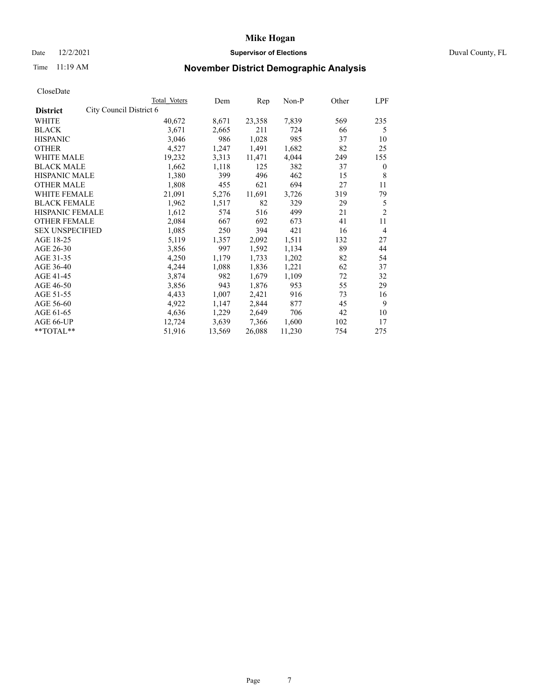#### Date 12/2/2021 **Supervisor of Elections** Duval County, FL

## Time 11:19 AM **November District Demographic Analysis**

|                        |                         | Total Voters | Dem    | Rep    | $Non-P$ | Other | LPF            |
|------------------------|-------------------------|--------------|--------|--------|---------|-------|----------------|
| <b>District</b>        | City Council District 6 |              |        |        |         |       |                |
| WHITE                  |                         | 40,672       | 8,671  | 23,358 | 7,839   | 569   | 235            |
| <b>BLACK</b>           |                         | 3,671        | 2,665  | 211    | 724     | 66    | 5              |
| <b>HISPANIC</b>        |                         | 3,046        | 986    | 1,028  | 985     | 37    | 10             |
| <b>OTHER</b>           |                         | 4,527        | 1,247  | 1,491  | 1,682   | 82    | 25             |
| <b>WHITE MALE</b>      |                         | 19,232       | 3,313  | 11,471 | 4,044   | 249   | 155            |
| <b>BLACK MALE</b>      |                         | 1,662        | 1,118  | 125    | 382     | 37    | $\mathbf{0}$   |
| <b>HISPANIC MALE</b>   |                         | 1,380        | 399    | 496    | 462     | 15    | 8              |
| <b>OTHER MALE</b>      |                         | 1,808        | 455    | 621    | 694     | 27    | 11             |
| WHITE FEMALE           |                         | 21,091       | 5,276  | 11,691 | 3,726   | 319   | 79             |
| <b>BLACK FEMALE</b>    |                         | 1,962        | 1,517  | 82     | 329     | 29    | 5              |
| HISPANIC FEMALE        |                         | 1,612        | 574    | 516    | 499     | 21    | $\overline{2}$ |
| <b>OTHER FEMALE</b>    |                         | 2,084        | 667    | 692    | 673     | 41    | 11             |
| <b>SEX UNSPECIFIED</b> |                         | 1,085        | 250    | 394    | 421     | 16    | $\overline{4}$ |
| AGE 18-25              |                         | 5,119        | 1,357  | 2,092  | 1,511   | 132   | 27             |
| AGE 26-30              |                         | 3,856        | 997    | 1,592  | 1,134   | 89    | 44             |
| AGE 31-35              |                         | 4,250        | 1,179  | 1,733  | 1,202   | 82    | 54             |
| AGE 36-40              |                         | 4,244        | 1,088  | 1,836  | 1,221   | 62    | 37             |
| AGE 41-45              |                         | 3,874        | 982    | 1,679  | 1,109   | 72    | 32             |
| AGE 46-50              |                         | 3,856        | 943    | 1,876  | 953     | 55    | 29             |
| AGE 51-55              |                         | 4,433        | 1,007  | 2,421  | 916     | 73    | 16             |
| AGE 56-60              |                         | 4,922        | 1,147  | 2,844  | 877     | 45    | 9              |
| AGE 61-65              |                         | 4,636        | 1,229  | 2,649  | 706     | 42    | 10             |
| AGE 66-UP              |                         | 12,724       | 3,639  | 7,366  | 1,600   | 102   | 17             |
| **TOTAL**              |                         | 51,916       | 13,569 | 26,088 | 11,230  | 754   | 275            |
|                        |                         |              |        |        |         |       |                |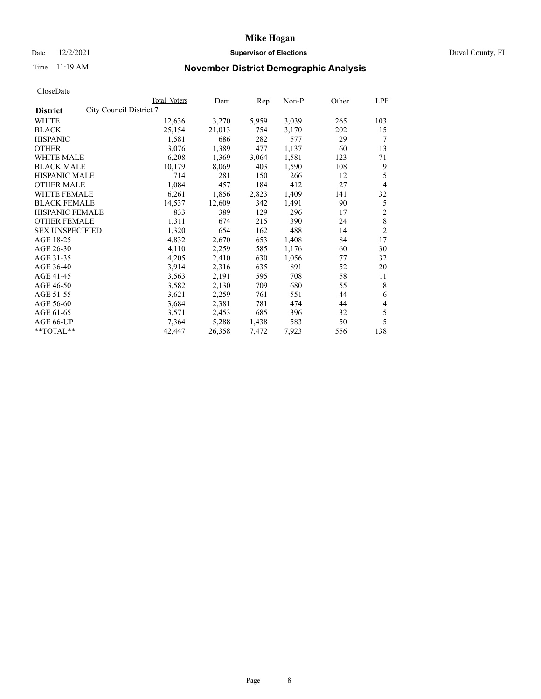### Date 12/2/2021 **Supervisor of Elections Supervisor of Elections** Duval County, FL

## Time 11:19 AM **November District Demographic Analysis**

|                                            | Total Voters | Dem    | Rep   | $Non-P$ | Other | LPF                     |
|--------------------------------------------|--------------|--------|-------|---------|-------|-------------------------|
| City Council District 7<br><b>District</b> |              |        |       |         |       |                         |
| WHITE                                      | 12,636       | 3,270  | 5,959 | 3,039   | 265   | 103                     |
| <b>BLACK</b>                               | 25,154       | 21,013 | 754   | 3,170   | 202   | 15                      |
| <b>HISPANIC</b>                            | 1,581        | 686    | 282   | 577     | 29    | 7                       |
| <b>OTHER</b>                               | 3,076        | 1,389  | 477   | 1,137   | 60    | 13                      |
| <b>WHITE MALE</b>                          | 6,208        | 1,369  | 3,064 | 1,581   | 123   | 71                      |
| <b>BLACK MALE</b>                          | 10,179       | 8,069  | 403   | 1,590   | 108   | 9                       |
| <b>HISPANIC MALE</b>                       | 714          | 281    | 150   | 266     | 12    | 5                       |
| <b>OTHER MALE</b>                          | 1,084        | 457    | 184   | 412     | 27    | 4                       |
| WHITE FEMALE                               | 6,261        | 1,856  | 2,823 | 1,409   | 141   | 32                      |
| <b>BLACK FEMALE</b>                        | 14,537       | 12,609 | 342   | 1,491   | 90    | 5                       |
| HISPANIC FEMALE                            | 833          | 389    | 129   | 296     | 17    | $\overline{\mathbf{c}}$ |
| <b>OTHER FEMALE</b>                        | 1,311        | 674    | 215   | 390     | 24    | 8                       |
| <b>SEX UNSPECIFIED</b>                     | 1,320        | 654    | 162   | 488     | 14    | $\overline{2}$          |
| AGE 18-25                                  | 4,832        | 2,670  | 653   | 1,408   | 84    | 17                      |
| AGE 26-30                                  | 4,110        | 2,259  | 585   | 1,176   | 60    | 30                      |
| AGE 31-35                                  | 4,205        | 2,410  | 630   | 1,056   | 77    | 32                      |
| AGE 36-40                                  | 3,914        | 2,316  | 635   | 891     | 52    | 20                      |
| AGE 41-45                                  | 3,563        | 2,191  | 595   | 708     | 58    | 11                      |
| AGE 46-50                                  | 3,582        | 2,130  | 709   | 680     | 55    | 8                       |
| AGE 51-55                                  | 3,621        | 2,259  | 761   | 551     | 44    | 6                       |
| AGE 56-60                                  | 3,684        | 2,381  | 781   | 474     | 44    | 4                       |
| AGE 61-65                                  | 3,571        | 2,453  | 685   | 396     | 32    | 5                       |
| AGE 66-UP                                  | 7,364        | 5,288  | 1,438 | 583     | 50    | 5                       |
| **TOTAL**                                  | 42,447       | 26,358 | 7,472 | 7,923   | 556   | 138                     |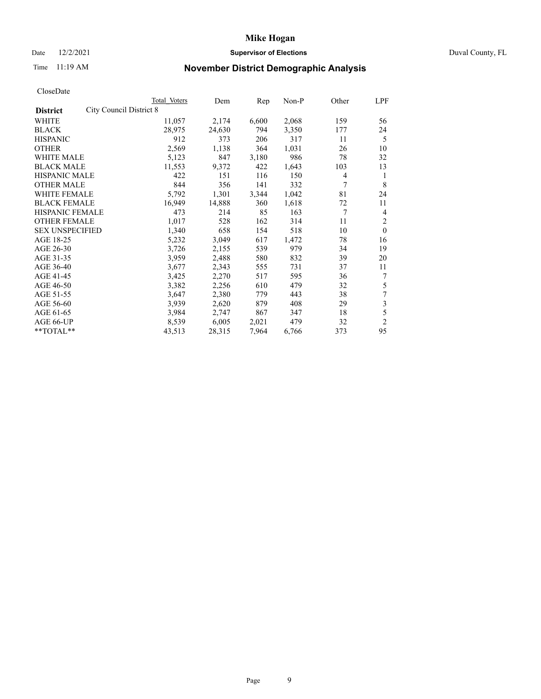#### Date 12/2/2021 **Supervisor of Elections** Duval County, FL

## Time 11:19 AM **November District Demographic Analysis**

|                                                   | Total Voters | Dem    | Rep   | Non-P | Other | LPF            |
|---------------------------------------------------|--------------|--------|-------|-------|-------|----------------|
| <b>City Council District 8</b><br><b>District</b> |              |        |       |       |       |                |
| WHITE                                             | 11,057       | 2,174  | 6,600 | 2,068 | 159   | 56             |
| <b>BLACK</b>                                      | 28,975       | 24,630 | 794   | 3,350 | 177   | 24             |
| <b>HISPANIC</b>                                   | 912          | 373    | 206   | 317   | 11    | 5              |
| <b>OTHER</b>                                      | 2,569        | 1,138  | 364   | 1,031 | 26    | 10             |
| <b>WHITE MALE</b>                                 | 5,123        | 847    | 3,180 | 986   | 78    | 32             |
| <b>BLACK MALE</b>                                 | 11,553       | 9,372  | 422   | 1,643 | 103   | 13             |
| HISPANIC MALE                                     | 422          | 151    | 116   | 150   | 4     | 1              |
| <b>OTHER MALE</b>                                 | 844          | 356    | 141   | 332   | 7     | 8              |
| <b>WHITE FEMALE</b>                               | 5,792        | 1,301  | 3,344 | 1,042 | 81    | 24             |
| <b>BLACK FEMALE</b>                               | 16,949       | 14,888 | 360   | 1,618 | 72    | 11             |
| <b>HISPANIC FEMALE</b>                            | 473          | 214    | 85    | 163   | 7     | $\overline{4}$ |
| <b>OTHER FEMALE</b>                               | 1,017        | 528    | 162   | 314   | 11    | $\overline{2}$ |
| <b>SEX UNSPECIFIED</b>                            | 1,340        | 658    | 154   | 518   | 10    | $\theta$       |
| AGE 18-25                                         | 5,232        | 3,049  | 617   | 1,472 | 78    | 16             |
| AGE 26-30                                         | 3,726        | 2,155  | 539   | 979   | 34    | 19             |
| AGE 31-35                                         | 3,959        | 2,488  | 580   | 832   | 39    | 20             |
| AGE 36-40                                         | 3,677        | 2,343  | 555   | 731   | 37    | 11             |
| AGE 41-45                                         | 3,425        | 2,270  | 517   | 595   | 36    | 7              |
| AGE 46-50                                         | 3,382        | 2,256  | 610   | 479   | 32    | 5              |
| AGE 51-55                                         | 3,647        | 2,380  | 779   | 443   | 38    | 7              |
| AGE 56-60                                         | 3,939        | 2,620  | 879   | 408   | 29    | 3              |
| AGE 61-65                                         | 3,984        | 2,747  | 867   | 347   | 18    | 5              |
| AGE 66-UP                                         | 8,539        | 6,005  | 2,021 | 479   | 32    | $\overline{2}$ |
| **TOTAL**                                         | 43,513       | 28,315 | 7,964 | 6,766 | 373   | 95             |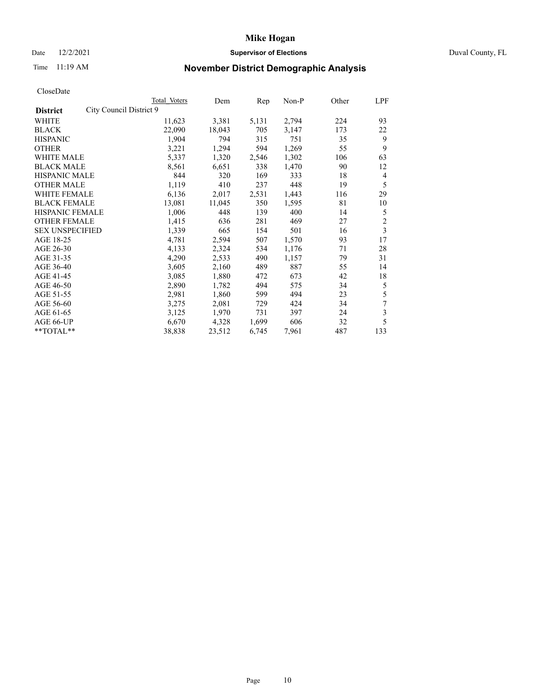### Date 12/2/2021 **Supervisor of Elections Supervisor of Elections** Duval County, FL

## Time 11:19 AM **November District Demographic Analysis**

|                                            | Total Voters | Dem    | Rep   | Non-P | Other | LPF            |
|--------------------------------------------|--------------|--------|-------|-------|-------|----------------|
| City Council District 9<br><b>District</b> |              |        |       |       |       |                |
| WHITE                                      | 11,623       | 3,381  | 5,131 | 2,794 | 224   | 93             |
| <b>BLACK</b>                               | 22,090       | 18,043 | 705   | 3,147 | 173   | 22             |
| <b>HISPANIC</b>                            | 1,904        | 794    | 315   | 751   | 35    | 9              |
| <b>OTHER</b>                               | 3,221        | 1,294  | 594   | 1,269 | 55    | 9              |
| <b>WHITE MALE</b>                          | 5,337        | 1,320  | 2,546 | 1,302 | 106   | 63             |
| <b>BLACK MALE</b>                          | 8,561        | 6,651  | 338   | 1,470 | 90    | 12             |
| <b>HISPANIC MALE</b>                       | 844          | 320    | 169   | 333   | 18    | 4              |
| <b>OTHER MALE</b>                          | 1,119        | 410    | 237   | 448   | 19    | 5              |
| WHITE FEMALE                               | 6,136        | 2,017  | 2,531 | 1,443 | 116   | 29             |
| <b>BLACK FEMALE</b>                        | 13,081       | 11,045 | 350   | 1,595 | 81    | 10             |
| <b>HISPANIC FEMALE</b>                     | 1,006        | 448    | 139   | 400   | 14    | 5              |
| <b>OTHER FEMALE</b>                        | 1,415        | 636    | 281   | 469   | 27    | $\overline{c}$ |
| <b>SEX UNSPECIFIED</b>                     | 1,339        | 665    | 154   | 501   | 16    | 3              |
| AGE 18-25                                  | 4,781        | 2,594  | 507   | 1,570 | 93    | 17             |
| AGE 26-30                                  | 4,133        | 2,324  | 534   | 1,176 | 71    | 28             |
| AGE 31-35                                  | 4,290        | 2,533  | 490   | 1,157 | 79    | 31             |
| AGE 36-40                                  | 3,605        | 2,160  | 489   | 887   | 55    | 14             |
| AGE 41-45                                  | 3,085        | 1,880  | 472   | 673   | 42    | 18             |
| AGE 46-50                                  | 2,890        | 1,782  | 494   | 575   | 34    | 5              |
| AGE 51-55                                  | 2,981        | 1,860  | 599   | 494   | 23    | 5              |
| AGE 56-60                                  | 3,275        | 2,081  | 729   | 424   | 34    | 7              |
| AGE 61-65                                  | 3,125        | 1,970  | 731   | 397   | 24    | 3              |
| AGE 66-UP                                  | 6,670        | 4,328  | 1,699 | 606   | 32    | 5              |
| **TOTAL**                                  | 38,838       | 23,512 | 6,745 | 7,961 | 487   | 133            |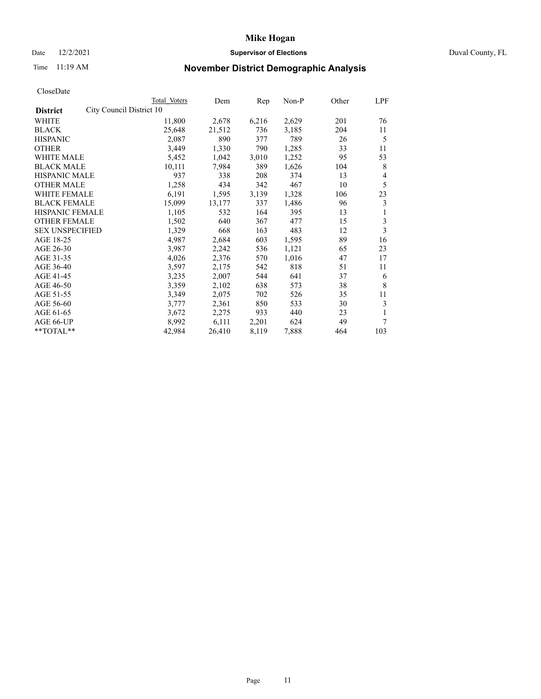### Date 12/2/2021 **Supervisor of Elections Supervisor of Elections** Duval County, FL

## Time 11:19 AM **November District Demographic Analysis**

|                                             | Total Voters | Dem    | Rep   | Non-P | Other | LPF |
|---------------------------------------------|--------------|--------|-------|-------|-------|-----|
| City Council District 10<br><b>District</b> |              |        |       |       |       |     |
| WHITE                                       | 11,800       | 2,678  | 6,216 | 2,629 | 201   | 76  |
| <b>BLACK</b>                                | 25,648       | 21,512 | 736   | 3,185 | 204   | 11  |
| <b>HISPANIC</b>                             | 2,087        | 890    | 377   | 789   | 26    | 5   |
| <b>OTHER</b>                                | 3,449        | 1,330  | 790   | 1,285 | 33    | 11  |
| <b>WHITE MALE</b>                           | 5,452        | 1,042  | 3,010 | 1,252 | 95    | 53  |
| <b>BLACK MALE</b>                           | 10,111       | 7,984  | 389   | 1,626 | 104   | 8   |
| <b>HISPANIC MALE</b>                        | 937          | 338    | 208   | 374   | 13    | 4   |
| <b>OTHER MALE</b>                           | 1,258        | 434    | 342   | 467   | 10    | 5   |
| WHITE FEMALE                                | 6,191        | 1,595  | 3,139 | 1,328 | 106   | 23  |
| <b>BLACK FEMALE</b>                         | 15,099       | 13,177 | 337   | 1,486 | 96    | 3   |
| <b>HISPANIC FEMALE</b>                      | 1,105        | 532    | 164   | 395   | 13    | 1   |
| <b>OTHER FEMALE</b>                         | 1,502        | 640    | 367   | 477   | 15    | 3   |
| <b>SEX UNSPECIFIED</b>                      | 1,329        | 668    | 163   | 483   | 12    | 3   |
| AGE 18-25                                   | 4,987        | 2,684  | 603   | 1,595 | 89    | 16  |
| AGE 26-30                                   | 3,987        | 2,242  | 536   | 1,121 | 65    | 23  |
| AGE 31-35                                   | 4,026        | 2,376  | 570   | 1,016 | 47    | 17  |
| AGE 36-40                                   | 3,597        | 2,175  | 542   | 818   | 51    | 11  |
| AGE 41-45                                   | 3,235        | 2,007  | 544   | 641   | 37    | 6   |
| AGE 46-50                                   | 3,359        | 2,102  | 638   | 573   | 38    | 8   |
| AGE 51-55                                   | 3,349        | 2,075  | 702   | 526   | 35    | 11  |
| AGE 56-60                                   | 3,777        | 2,361  | 850   | 533   | 30    | 3   |
| AGE 61-65                                   | 3,672        | 2,275  | 933   | 440   | 23    |     |
| AGE 66-UP                                   | 8,992        | 6,111  | 2,201 | 624   | 49    | 7   |
| **TOTAL**                                   | 42,984       | 26,410 | 8,119 | 7,888 | 464   | 103 |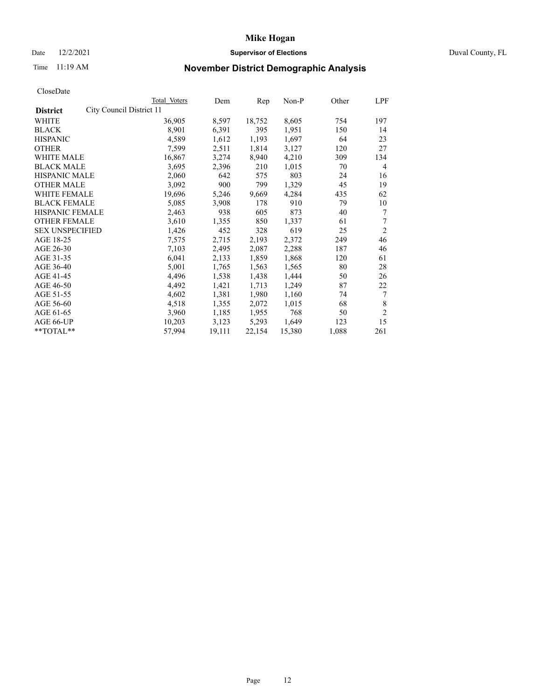### Date 12/2/2021 **Supervisor of Elections Supervisor of Elections** Duval County, FL

## Time 11:19 AM **November District Demographic Analysis**

| Total Voters | Dem                      | Rep    | $Non-P$ | Other | LPF            |
|--------------|--------------------------|--------|---------|-------|----------------|
|              |                          |        |         |       |                |
| 36,905       | 8,597                    | 18,752 | 8,605   | 754   | 197            |
| 8,901        | 6,391                    | 395    | 1,951   | 150   | 14             |
| 4,589        | 1,612                    | 1,193  | 1,697   | 64    | 23             |
| 7,599        | 2,511                    | 1,814  | 3,127   | 120   | 27             |
| 16,867       | 3,274                    | 8,940  | 4,210   | 309   | 134            |
| 3,695        | 2,396                    | 210    | 1,015   | 70    | $\overline{4}$ |
| 2,060        | 642                      | 575    | 803     | 24    | 16             |
| 3,092        | 900                      | 799    | 1,329   | 45    | 19             |
| 19,696       | 5,246                    | 9,669  | 4,284   | 435   | 62             |
| 5,085        | 3,908                    | 178    | 910     | 79    | 10             |
| 2,463        | 938                      | 605    | 873     | 40    | 7              |
| 3,610        | 1,355                    | 850    | 1,337   | 61    | 7              |
| 1,426        | 452                      | 328    | 619     | 25    | $\overline{2}$ |
| 7,575        | 2,715                    | 2,193  | 2,372   | 249   | 46             |
| 7,103        | 2,495                    | 2,087  | 2,288   | 187   | 46             |
| 6,041        | 2,133                    | 1,859  | 1,868   | 120   | 61             |
| 5,001        | 1,765                    | 1,563  | 1,565   | 80    | 28             |
| 4,496        | 1,538                    | 1,438  | 1,444   | 50    | 26             |
| 4,492        | 1,421                    | 1,713  | 1,249   | 87    | 22             |
| 4,602        | 1,381                    | 1,980  | 1,160   | 74    | 7              |
| 4,518        | 1,355                    | 2,072  | 1,015   | 68    | 8              |
| 3,960        | 1,185                    | 1,955  | 768     | 50    | $\overline{c}$ |
| 10,203       | 3,123                    | 5,293  | 1,649   | 123   | 15             |
| 57,994       | 19,111                   | 22,154 | 15,380  | 1,088 | 261            |
|              | City Council District 11 |        |         |       |                |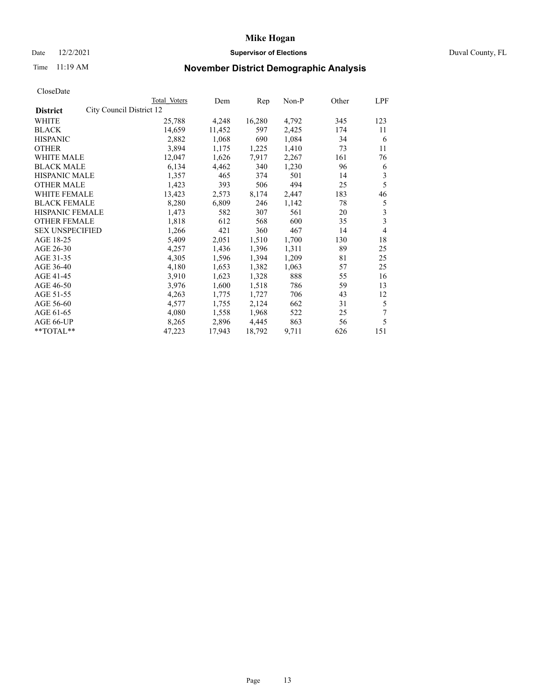### Date 12/2/2021 **Supervisor of Elections Supervisor of Elections** Duval County, FL

## Time 11:19 AM **November District Demographic Analysis**

|                                             | Total Voters | Dem    | Rep    | Non-P | Other | LPF |
|---------------------------------------------|--------------|--------|--------|-------|-------|-----|
| City Council District 12<br><b>District</b> |              |        |        |       |       |     |
| WHITE                                       | 25,788       | 4,248  | 16,280 | 4,792 | 345   | 123 |
| <b>BLACK</b>                                | 14,659       | 11,452 | 597    | 2,425 | 174   | 11  |
| <b>HISPANIC</b>                             | 2,882        | 1,068  | 690    | 1,084 | 34    | 6   |
| <b>OTHER</b>                                | 3,894        | 1,175  | 1,225  | 1,410 | 73    | 11  |
| <b>WHITE MALE</b>                           | 12,047       | 1,626  | 7,917  | 2,267 | 161   | 76  |
| <b>BLACK MALE</b>                           | 6,134        | 4,462  | 340    | 1,230 | 96    | 6   |
| <b>HISPANIC MALE</b>                        | 1,357        | 465    | 374    | 501   | 14    | 3   |
| <b>OTHER MALE</b>                           | 1,423        | 393    | 506    | 494   | 25    | 5   |
| WHITE FEMALE                                | 13,423       | 2,573  | 8,174  | 2,447 | 183   | 46  |
| <b>BLACK FEMALE</b>                         | 8,280        | 6,809  | 246    | 1,142 | 78    | 5   |
| HISPANIC FEMALE                             | 1,473        | 582    | 307    | 561   | 20    | 3   |
| <b>OTHER FEMALE</b>                         | 1,818        | 612    | 568    | 600   | 35    | 3   |
| <b>SEX UNSPECIFIED</b>                      | 1,266        | 421    | 360    | 467   | 14    | 4   |
| AGE 18-25                                   | 5,409        | 2,051  | 1,510  | 1,700 | 130   | 18  |
| AGE 26-30                                   | 4,257        | 1,436  | 1,396  | 1,311 | 89    | 25  |
| AGE 31-35                                   | 4,305        | 1,596  | 1,394  | 1,209 | 81    | 25  |
| AGE 36-40                                   | 4,180        | 1,653  | 1,382  | 1,063 | 57    | 25  |
| AGE 41-45                                   | 3,910        | 1,623  | 1,328  | 888   | 55    | 16  |
| AGE 46-50                                   | 3,976        | 1,600  | 1,518  | 786   | 59    | 13  |
| AGE 51-55                                   | 4,263        | 1,775  | 1,727  | 706   | 43    | 12  |
| AGE 56-60                                   | 4,577        | 1,755  | 2,124  | 662   | 31    | 5   |
| AGE 61-65                                   | 4,080        | 1,558  | 1,968  | 522   | 25    | 7   |
| AGE 66-UP                                   | 8,265        | 2,896  | 4,445  | 863   | 56    | 5   |
| **TOTAL**                                   | 47,223       | 17,943 | 18,792 | 9,711 | 626   | 151 |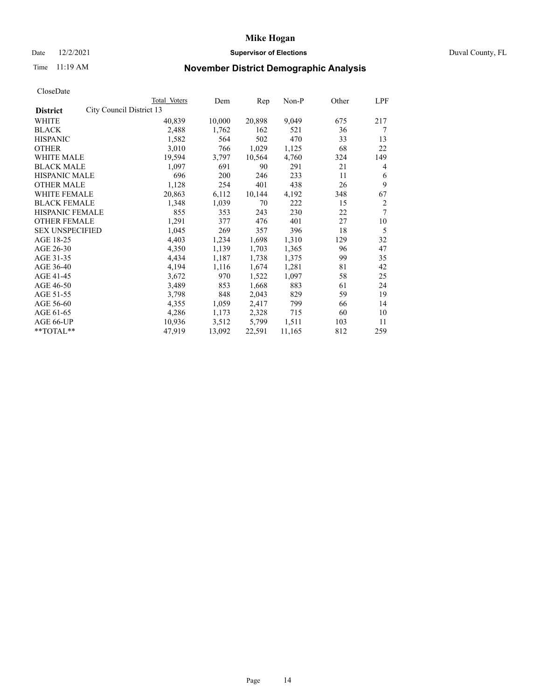### Date 12/2/2021 **Supervisor of Elections Supervisor of Elections** Duval County, FL

## Time 11:19 AM **November District Demographic Analysis**

|                        |                          | Total Voters | Dem    | Rep    | Non-P  | Other | LPF |
|------------------------|--------------------------|--------------|--------|--------|--------|-------|-----|
| <b>District</b>        | City Council District 13 |              |        |        |        |       |     |
| WHITE                  |                          | 40,839       | 10,000 | 20,898 | 9,049  | 675   | 217 |
| <b>BLACK</b>           |                          | 2,488        | 1,762  | 162    | 521    | 36    | 7   |
| <b>HISPANIC</b>        |                          | 1,582        | 564    | 502    | 470    | 33    | 13  |
| <b>OTHER</b>           |                          | 3,010        | 766    | 1,029  | 1,125  | 68    | 22  |
| <b>WHITE MALE</b>      |                          | 19,594       | 3,797  | 10,564 | 4,760  | 324   | 149 |
| <b>BLACK MALE</b>      |                          | 1,097        | 691    | 90     | 291    | 21    | 4   |
| <b>HISPANIC MALE</b>   |                          | 696          | 200    | 246    | 233    | 11    | 6   |
| <b>OTHER MALE</b>      |                          | 1,128        | 254    | 401    | 438    | 26    | 9   |
| WHITE FEMALE           |                          | 20,863       | 6,112  | 10,144 | 4,192  | 348   | 67  |
| <b>BLACK FEMALE</b>    |                          | 1,348        | 1,039  | 70     | 222    | 15    | 2   |
| HISPANIC FEMALE        |                          | 855          | 353    | 243    | 230    | 22    | 7   |
| <b>OTHER FEMALE</b>    |                          | 1,291        | 377    | 476    | 401    | 27    | 10  |
| <b>SEX UNSPECIFIED</b> |                          | 1,045        | 269    | 357    | 396    | 18    | 5   |
| AGE 18-25              |                          | 4,403        | 1,234  | 1,698  | 1,310  | 129   | 32  |
| AGE 26-30              |                          | 4,350        | 1,139  | 1,703  | 1,365  | 96    | 47  |
| AGE 31-35              |                          | 4,434        | 1,187  | 1,738  | 1,375  | 99    | 35  |
| AGE 36-40              |                          | 4,194        | 1,116  | 1,674  | 1,281  | 81    | 42  |
| AGE 41-45              |                          | 3,672        | 970    | 1,522  | 1,097  | 58    | 25  |
| AGE 46-50              |                          | 3,489        | 853    | 1,668  | 883    | 61    | 24  |
| AGE 51-55              |                          | 3,798        | 848    | 2,043  | 829    | 59    | 19  |
| AGE 56-60              |                          | 4,355        | 1,059  | 2,417  | 799    | 66    | 14  |
| AGE 61-65              |                          | 4,286        | 1,173  | 2,328  | 715    | 60    | 10  |
| AGE 66-UP              |                          | 10,936       | 3,512  | 5,799  | 1,511  | 103   | 11  |
| **TOTAL**              |                          | 47,919       | 13,092 | 22,591 | 11,165 | 812   | 259 |
|                        |                          |              |        |        |        |       |     |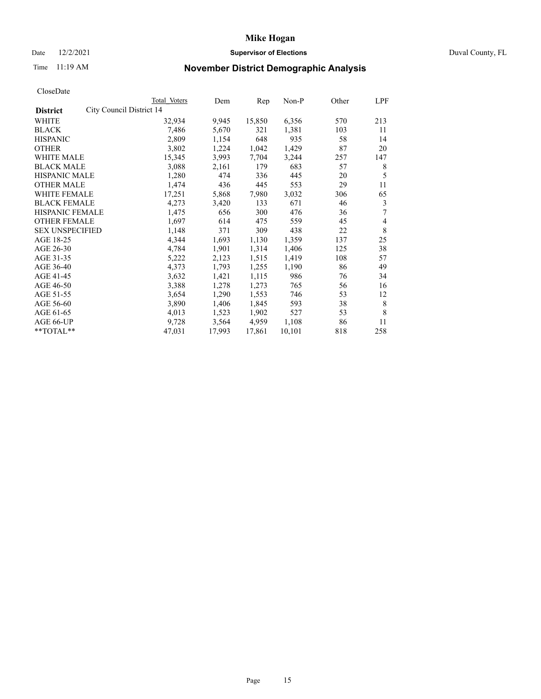### Date 12/2/2021 **Supervisor of Elections Supervisor of Elections** Duval County, FL

## Time 11:19 AM **November District Demographic Analysis**

|                        |                          | Total Voters | Dem    | Rep    | Non-P  | Other | LPF |
|------------------------|--------------------------|--------------|--------|--------|--------|-------|-----|
| <b>District</b>        | City Council District 14 |              |        |        |        |       |     |
| WHITE                  |                          | 32,934       | 9,945  | 15,850 | 6,356  | 570   | 213 |
| <b>BLACK</b>           |                          | 7,486        | 5,670  | 321    | 1,381  | 103   | 11  |
| <b>HISPANIC</b>        |                          | 2,809        | 1,154  | 648    | 935    | 58    | 14  |
| <b>OTHER</b>           |                          | 3,802        | 1,224  | 1,042  | 1,429  | 87    | 20  |
| <b>WHITE MALE</b>      |                          | 15,345       | 3,993  | 7,704  | 3,244  | 257   | 147 |
| <b>BLACK MALE</b>      |                          | 3,088        | 2,161  | 179    | 683    | 57    | 8   |
| <b>HISPANIC MALE</b>   |                          | 1,280        | 474    | 336    | 445    | 20    | 5   |
| <b>OTHER MALE</b>      |                          | 1,474        | 436    | 445    | 553    | 29    | 11  |
| WHITE FEMALE           |                          | 17,251       | 5,868  | 7,980  | 3,032  | 306   | 65  |
| <b>BLACK FEMALE</b>    |                          | 4,273        | 3,420  | 133    | 671    | 46    | 3   |
| HISPANIC FEMALE        |                          | 1,475        | 656    | 300    | 476    | 36    | 7   |
| <b>OTHER FEMALE</b>    |                          | 1,697        | 614    | 475    | 559    | 45    | 4   |
| <b>SEX UNSPECIFIED</b> |                          | 1,148        | 371    | 309    | 438    | 22    | 8   |
| AGE 18-25              |                          | 4,344        | 1,693  | 1,130  | 1,359  | 137   | 25  |
| AGE 26-30              |                          | 4,784        | 1,901  | 1,314  | 1,406  | 125   | 38  |
| AGE 31-35              |                          | 5,222        | 2,123  | 1,515  | 1,419  | 108   | 57  |
| AGE 36-40              |                          | 4,373        | 1,793  | 1,255  | 1,190  | 86    | 49  |
| AGE 41-45              |                          | 3,632        | 1,421  | 1,115  | 986    | 76    | 34  |
| AGE 46-50              |                          | 3,388        | 1,278  | 1,273  | 765    | 56    | 16  |
| AGE 51-55              |                          | 3,654        | 1,290  | 1,553  | 746    | 53    | 12  |
| AGE 56-60              |                          | 3,890        | 1,406  | 1,845  | 593    | 38    | 8   |
| AGE 61-65              |                          | 4,013        | 1,523  | 1,902  | 527    | 53    | 8   |
| AGE 66-UP              |                          | 9,728        | 3,564  | 4,959  | 1,108  | 86    | 11  |
| **TOTAL**              |                          | 47,031       | 17,993 | 17,861 | 10,101 | 818   | 258 |
|                        |                          |              |        |        |        |       |     |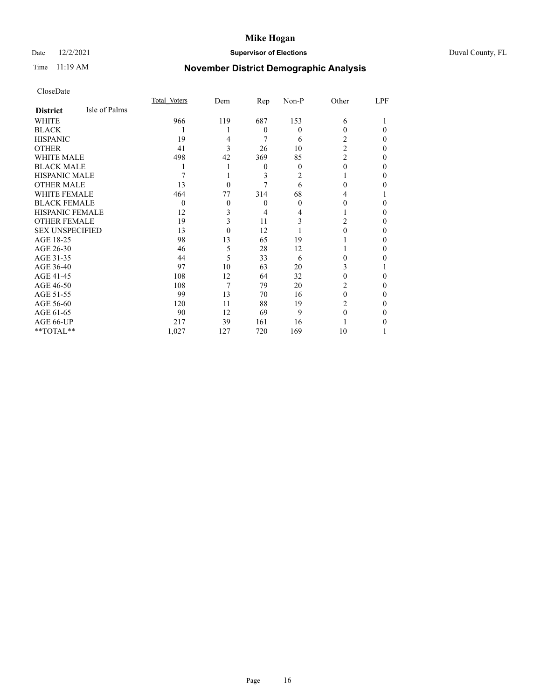### Date 12/2/2021 **Supervisor of Elections** Duval County, FL

## Time 11:19 AM **November District Demographic Analysis**

|                        |               | Total Voters | Dem      | Rep      | $Non-P$        | Other          | LPF |
|------------------------|---------------|--------------|----------|----------|----------------|----------------|-----|
| <b>District</b>        | Isle of Palms |              |          |          |                |                |     |
| WHITE                  |               | 966          | 119      | 687      | 153            | 6              |     |
| <b>BLACK</b>           |               |              |          | $\theta$ | 0              | 0              | 0   |
| <b>HISPANIC</b>        |               | 19           | 4        | 7        | 6              | 2              | 0   |
| <b>OTHER</b>           |               | 41           | 3        | 26       | 10             | $\overline{2}$ | 0   |
| WHITE MALE             |               | 498          | 42       | 369      | 85             | $\overline{2}$ | 0   |
| <b>BLACK MALE</b>      |               |              |          | $\theta$ | 0              | 0              | 0   |
| <b>HISPANIC MALE</b>   |               |              |          | 3        | $\overline{c}$ |                | 0   |
| <b>OTHER MALE</b>      |               | 13           | 0        |          | 6              | 0              | 0   |
| <b>WHITE FEMALE</b>    |               | 464          | 77       | 314      | 68             | 4              |     |
| <b>BLACK FEMALE</b>    |               | $\theta$     | $\theta$ | $\theta$ | 0              | 0              | 0   |
| <b>HISPANIC FEMALE</b> |               | 12           | 3        | 4        |                |                | 0   |
| <b>OTHER FEMALE</b>    |               | 19           | 3        | 11       | 3              | 2              | 0   |
| <b>SEX UNSPECIFIED</b> |               | 13           | $\Omega$ | 12       |                | 0              | 0   |
| AGE 18-25              |               | 98           | 13       | 65       | 19             |                | 0   |
| AGE 26-30              |               | 46           | 5        | 28       | 12             |                | 0   |
| AGE 31-35              |               | 44           | 5        | 33       | 6              | 0              | 0   |
| AGE 36-40              |               | 97           | 10       | 63       | 20             | 3              |     |
| AGE 41-45              |               | 108          | 12       | 64       | 32             | 0              | 0   |
| AGE 46-50              |               | 108          | 7        | 79       | 20             | 2              | 0   |
| AGE 51-55              |               | 99           | 13       | 70       | 16             | 0              | 0   |
| AGE 56-60              |               | 120          | 11       | 88       | 19             | 2              | 0   |
| AGE 61-65              |               | 90           | 12       | 69       | 9              | 0              | 0   |
| AGE 66-UP              |               | 217          | 39       | 161      | 16             |                |     |
| **TOTAL**              |               | 1,027        | 127      | 720      | 169            | 10             |     |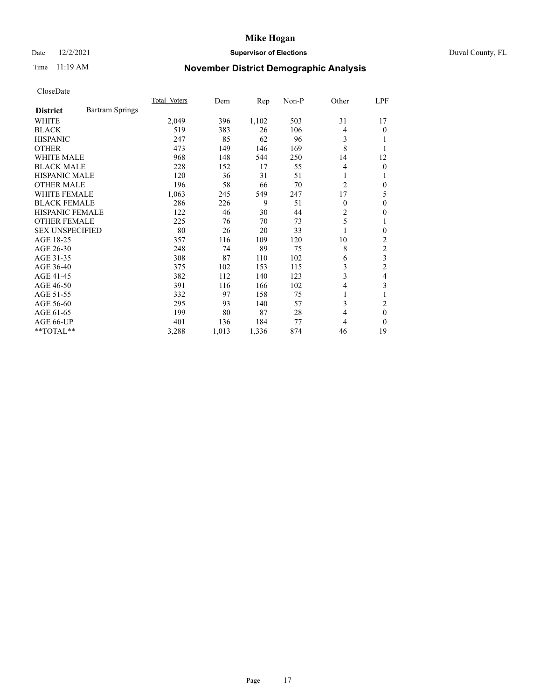### Date 12/2/2021 **Supervisor of Elections Supervisor of Elections** Duval County, FL

## Time 11:19 AM **November District Demographic Analysis**

|                                           | Total Voters | Dem   | Rep   | $Non-P$ | Other          | LPF            |
|-------------------------------------------|--------------|-------|-------|---------|----------------|----------------|
| <b>Bartram Springs</b><br><b>District</b> |              |       |       |         |                |                |
| WHITE                                     | 2,049        | 396   | 1,102 | 503     | 31             | 17             |
| <b>BLACK</b>                              | 519          | 383   | 26    | 106     | $\overline{4}$ | 0              |
| <b>HISPANIC</b>                           | 247          | 85    | 62    | 96      | 3              |                |
| <b>OTHER</b>                              | 473          | 149   | 146   | 169     | 8              |                |
| <b>WHITE MALE</b>                         | 968          | 148   | 544   | 250     | 14             | 12             |
| <b>BLACK MALE</b>                         | 228          | 152   | 17    | 55      | 4              | 0              |
| <b>HISPANIC MALE</b>                      | 120          | 36    | 31    | 51      | 1              |                |
| <b>OTHER MALE</b>                         | 196          | 58    | 66    | 70      | $\overline{2}$ | 0              |
| <b>WHITE FEMALE</b>                       | 1,063        | 245   | 549   | 247     | 17             | 5              |
| <b>BLACK FEMALE</b>                       | 286          | 226   | 9     | 51      | $\theta$       | 0              |
| HISPANIC FEMALE                           | 122          | 46    | 30    | 44      | 2              | 0              |
| <b>OTHER FEMALE</b>                       | 225          | 76    | 70    | 73      | 5              | 1              |
| <b>SEX UNSPECIFIED</b>                    | 80           | 26    | 20    | 33      | 1              | 0              |
| AGE 18-25                                 | 357          | 116   | 109   | 120     | 10             | 2              |
| AGE 26-30                                 | 248          | 74    | 89    | 75      | 8              | $\overline{c}$ |
| AGE 31-35                                 | 308          | 87    | 110   | 102     | 6              | 3              |
| AGE 36-40                                 | 375          | 102   | 153   | 115     | 3              | $\overline{2}$ |
| AGE 41-45                                 | 382          | 112   | 140   | 123     | 3              | 4              |
| AGE 46-50                                 | 391          | 116   | 166   | 102     | 4              | 3              |
| AGE 51-55                                 | 332          | 97    | 158   | 75      | 1              |                |
| AGE 56-60                                 | 295          | 93    | 140   | 57      | 3              | 2              |
| AGE 61-65                                 | 199          | 80    | 87    | 28      | 4              | $\theta$       |
| AGE 66-UP                                 | 401          | 136   | 184   | 77      | $\overline{4}$ | $\Omega$       |
| **TOTAL**                                 | 3,288        | 1,013 | 1,336 | 874     | 46             | 19             |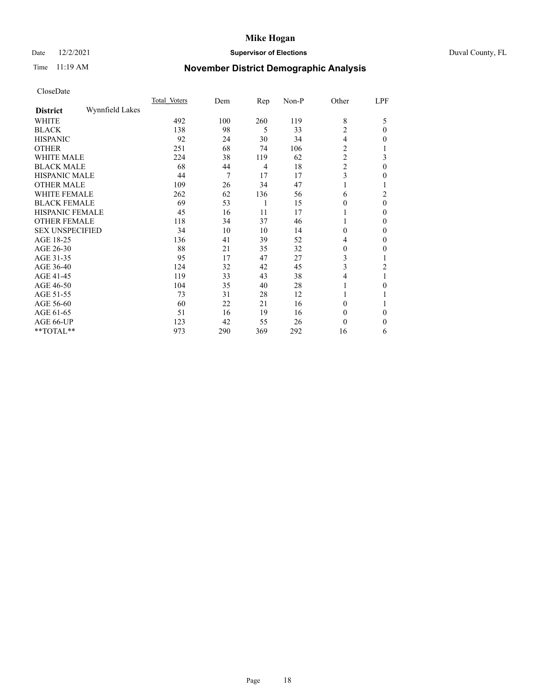### Date 12/2/2021 **Supervisor of Elections** Duval County, FL

## Time 11:19 AM **November District Demographic Analysis**

|                        |                 | Total Voters | Dem | $\mathbf{Rep}$ | Non-P | Other          | LPF      |
|------------------------|-----------------|--------------|-----|----------------|-------|----------------|----------|
| <b>District</b>        | Wynnfield Lakes |              |     |                |       |                |          |
| WHITE                  |                 | 492          | 100 | 260            | 119   | 8              | 5        |
| <b>BLACK</b>           |                 | 138          | 98  | 5              | 33    | 2              | $\theta$ |
| <b>HISPANIC</b>        |                 | 92           | 24  | 30             | 34    | 4              | $_{0}$   |
| <b>OTHER</b>           |                 | 251          | 68  | 74             | 106   | 2              |          |
| WHITE MALE             |                 | 224          | 38  | 119            | 62    | $\overline{c}$ | 3        |
| <b>BLACK MALE</b>      |                 | 68           | 44  | 4              | 18    | $\overline{c}$ | $\theta$ |
| <b>HISPANIC MALE</b>   |                 | 44           | 7   | 17             | 17    | 3              | $_{0}$   |
| <b>OTHER MALE</b>      |                 | 109          | 26  | 34             | 47    |                | 1        |
| <b>WHITE FEMALE</b>    |                 | 262          | 62  | 136            | 56    | 6              | 2        |
| <b>BLACK FEMALE</b>    |                 | 69           | 53  | 1              | 15    | 0              | $\theta$ |
| <b>HISPANIC FEMALE</b> |                 | 45           | 16  | 11             | 17    |                | $\Omega$ |
| <b>OTHER FEMALE</b>    |                 | 118          | 34  | 37             | 46    |                | $\Omega$ |
| <b>SEX UNSPECIFIED</b> |                 | 34           | 10  | 10             | 14    | 0              | $\Omega$ |
| AGE 18-25              |                 | 136          | 41  | 39             | 52    | 4              | $\theta$ |
| AGE 26-30              |                 | 88           | 21  | 35             | 32    | 0              | 0        |
| AGE 31-35              |                 | 95           | 17  | 47             | 27    | 3              |          |
| AGE 36-40              |                 | 124          | 32  | 42             | 45    | 3              | 2        |
| AGE 41-45              |                 | 119          | 33  | 43             | 38    | 4              |          |
| AGE 46-50              |                 | 104          | 35  | 40             | 28    |                | $\Omega$ |
| AGE 51-55              |                 | 73           | 31  | 28             | 12    |                |          |
| AGE 56-60              |                 | 60           | 22  | 21             | 16    | 0              |          |
| AGE 61-65              |                 | 51           | 16  | 19             | 16    | 0              | $\Omega$ |
| AGE 66-UP              |                 | 123          | 42  | 55             | 26    | 0              | 0        |
| **TOTAL**              |                 | 973          | 290 | 369            | 292   | 16             | 6        |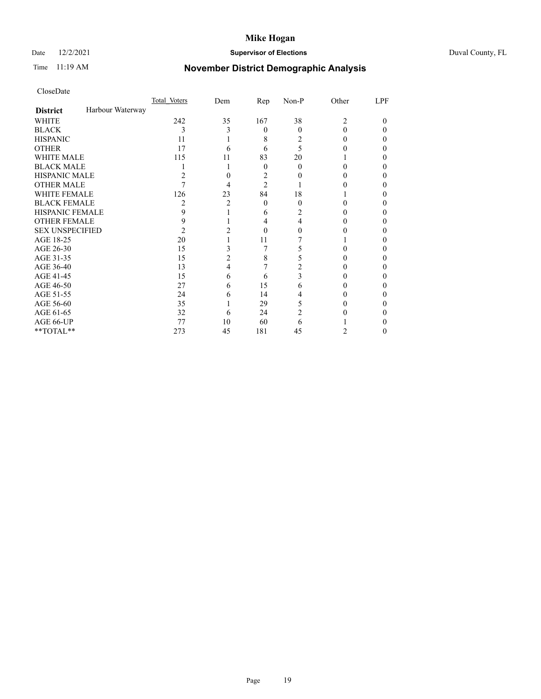### Date 12/2/2021 **Supervisor of Elections** Duval County, FL

## Time 11:19 AM **November District Demographic Analysis**

|                        |                  | Total Voters | Dem | Rep            | Non-P    | Other          | LPF |
|------------------------|------------------|--------------|-----|----------------|----------|----------------|-----|
| <b>District</b>        | Harbour Waterway |              |     |                |          |                |     |
| WHITE                  |                  | 242          | 35  | 167            | 38       | $\overline{c}$ | 0   |
| <b>BLACK</b>           |                  | 3            | 3   | $\Omega$       | $\Omega$ | 0              | 0   |
| <b>HISPANIC</b>        |                  | 11           |     | 8              | 2        | 0              | 0   |
| <b>OTHER</b>           |                  | 17           | 6   | 6              | 5        |                |     |
| <b>WHITE MALE</b>      |                  | 115          | 11  | 83             | 20       |                |     |
| <b>BLACK MALE</b>      |                  |              |     | $\theta$       | 0        | 0              |     |
| <b>HISPANIC MALE</b>   |                  | 2            |     | 2              |          |                |     |
| <b>OTHER MALE</b>      |                  |              | 4   | $\overline{2}$ |          |                | 0   |
| WHITE FEMALE           |                  | 126          | 23  | 84             | 18       |                |     |
| <b>BLACK FEMALE</b>    |                  | 2            | 2   | $\theta$       | $\Omega$ | 0              | 0   |
| <b>HISPANIC FEMALE</b> |                  | 9            |     | 6              | 2        |                |     |
| <b>OTHER FEMALE</b>    |                  | 9            |     | 4              | 4        |                | 0   |
| <b>SEX UNSPECIFIED</b> |                  | 2            |     | 0              |          |                |     |
| AGE 18-25              |                  | 20           |     | 11             |          |                |     |
| AGE 26-30              |                  | 15           | 3   | 7              |          |                |     |
| AGE 31-35              |                  | 15           | 2   | 8              |          |                | 0   |
| AGE 36-40              |                  | 13           | 4   |                |          |                | 0   |
| AGE 41-45              |                  | 15           | 6   | 6              | 3        |                |     |
| AGE 46-50              |                  | 27           | 6   | 15             | 6        | 0              |     |
| AGE 51-55              |                  | 24           | 6   | 14             | 4        |                |     |
| AGE 56-60              |                  | 35           |     | 29             | 5        |                |     |
| AGE 61-65              |                  | 32           | 6   | 24             | 2        |                |     |
| AGE 66-UP              |                  | 77           | 10  | 60             | 6        |                |     |
| **TOTAL**              |                  | 273          | 45  | 181            | 45       | 2              | 0   |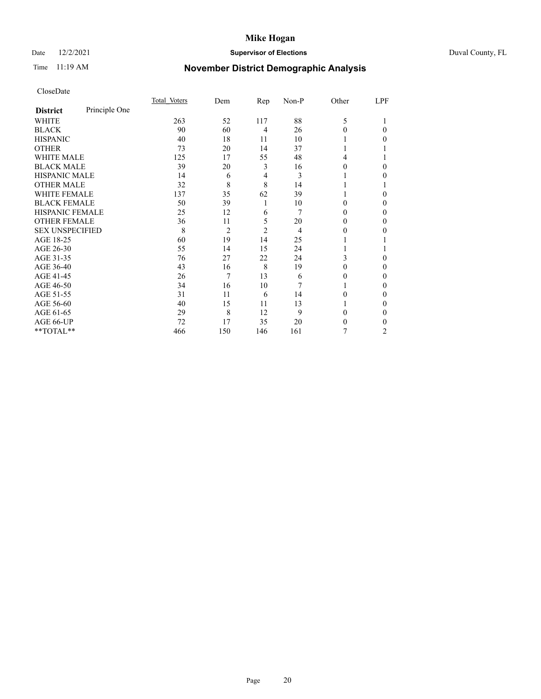### Date 12/2/2021 **Supervisor of Elections** Duval County, FL

## Time 11:19 AM **November District Demographic Analysis**

|                        |               | Total Voters | Dem            | Rep            | Non-P | Other  | LPF |
|------------------------|---------------|--------------|----------------|----------------|-------|--------|-----|
| <b>District</b>        | Principle One |              |                |                |       |        |     |
| WHITE                  |               | 263          | 52             | 117            | 88    | 5      |     |
| <b>BLACK</b>           |               | 90           | 60             | 4              | 26    | 0      | 0   |
| <b>HISPANIC</b>        |               | 40           | 18             | 11             | 10    |        | 0   |
| <b>OTHER</b>           |               | 73           | 20             | 14             | 37    |        |     |
| <b>WHITE MALE</b>      |               | 125          | 17             | 55             | 48    | 4      |     |
| <b>BLACK MALE</b>      |               | 39           | 20             | 3              | 16    | 0      | 0   |
| <b>HISPANIC MALE</b>   |               | 14           | 6              | 4              | 3     |        | 0   |
| <b>OTHER MALE</b>      |               | 32           | 8              | 8              | 14    |        |     |
| <b>WHITE FEMALE</b>    |               | 137          | 35             | 62             | 39    |        | 0   |
| <b>BLACK FEMALE</b>    |               | 50           | 39             | 1              | 10    | 0      | 0   |
| <b>HISPANIC FEMALE</b> |               | 25           | 12             | 6              | 7     | 0      | 0   |
| <b>OTHER FEMALE</b>    |               | 36           | 11             | 5              | 20    | 0      | 0   |
| <b>SEX UNSPECIFIED</b> |               | 8            | $\overline{2}$ | $\overline{2}$ | 4     | $_{0}$ | 0   |
| AGE 18-25              |               | 60           | 19             | 14             | 25    |        |     |
| AGE 26-30              |               | 55           | 14             | 15             | 24    |        |     |
| AGE 31-35              |               | 76           | 27             | 22             | 24    | 3      | 0   |
| AGE 36-40              |               | 43           | 16             | 8              | 19    | 0      | 0   |
| AGE 41-45              |               | 26           | 7              | 13             | 6     | 0      | 0   |
| AGE 46-50              |               | 34           | 16             | 10             | 7     |        | 0   |
| AGE 51-55              |               | 31           | 11             | 6              | 14    | 0      | 0   |
| AGE 56-60              |               | 40           | 15             | 11             | 13    |        | 0   |
| AGE 61-65              |               | 29           | 8              | 12             | 9     | 0      | 0   |
| AGE 66-UP              |               | 72           | 17             | 35             | 20    | 0      | 0   |
| **TOTAL**              |               | 466          | 150            | 146            | 161   | 7      | 2   |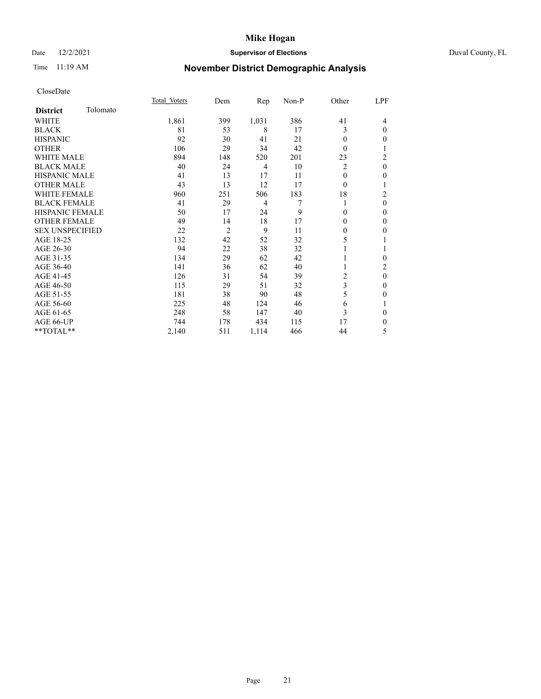### Date 12/2/2021 **Supervisor of Elections** Duval County, FL

## Time 11:19 AM **November District Demographic Analysis**

|                        |          | Total Voters | Dem            | $\mathbf{Rep}$ | Non-P | Other          | LPF            |
|------------------------|----------|--------------|----------------|----------------|-------|----------------|----------------|
| <b>District</b>        | Tolomato |              |                |                |       |                |                |
| WHITE                  |          | 1,861        | 399            | 1,031          | 386   | 41             | 4              |
| <b>BLACK</b>           |          | 81           | 53             | 8              | 17    | 3              | $\Omega$       |
| <b>HISPANIC</b>        |          | 92           | 30             | 41             | 21    | $\theta$       | 0              |
| <b>OTHER</b>           |          | 106          | 29             | 34             | 42    | $\Omega$       |                |
| <b>WHITE MALE</b>      |          | 894          | 148            | 520            | 201   | 23             | 2              |
| <b>BLACK MALE</b>      |          | 40           | 24             | 4              | 10    | $\overline{c}$ | $\theta$       |
| <b>HISPANIC MALE</b>   |          | 41           | 13             | 17             | 11    | $\theta$       | 0              |
| <b>OTHER MALE</b>      |          | 43           | 13             | 12             | 17    | $\theta$       | 1              |
| <b>WHITE FEMALE</b>    |          | 960          | 251            | 506            | 183   | 18             | $\overline{c}$ |
| <b>BLACK FEMALE</b>    |          | 41           | 29             | $\overline{4}$ | 7     | 1              | $\theta$       |
| <b>HISPANIC FEMALE</b> |          | 50           | 17             | 24             | 9     | $\theta$       | 0              |
| <b>OTHER FEMALE</b>    |          | 49           | 14             | 18             | 17    | $\theta$       | 0              |
| <b>SEX UNSPECIFIED</b> |          | 22           | $\overline{2}$ | 9              | 11    | $\theta$       | 0              |
| AGE 18-25              |          | 132          | 42             | 52             | 32    | 5              |                |
| AGE 26-30              |          | 94           | 22             | 38             | 32    | 1              | 1              |
| AGE 31-35              |          | 134          | 29             | 62             | 42    |                | 0              |
| AGE 36-40              |          | 141          | 36             | 62             | 40    | 1              | 2              |
| AGE 41-45              |          | 126          | 31             | 54             | 39    | 2              | $\theta$       |
| AGE 46-50              |          | 115          | 29             | 51             | 32    | 3              | 0              |
| AGE 51-55              |          | 181          | 38             | 90             | 48    | 5              | 0              |
| AGE 56-60              |          | 225          | 48             | 124            | 46    | 6              |                |
| AGE 61-65              |          | 248          | 58             | 147            | 40    | 3              | 0              |
| AGE 66-UP              |          | 744          | 178            | 434            | 115   | 17             | 0              |
| **TOTAL**              |          | 2,140        | 511            | 1,114          | 466   | 44             | 5              |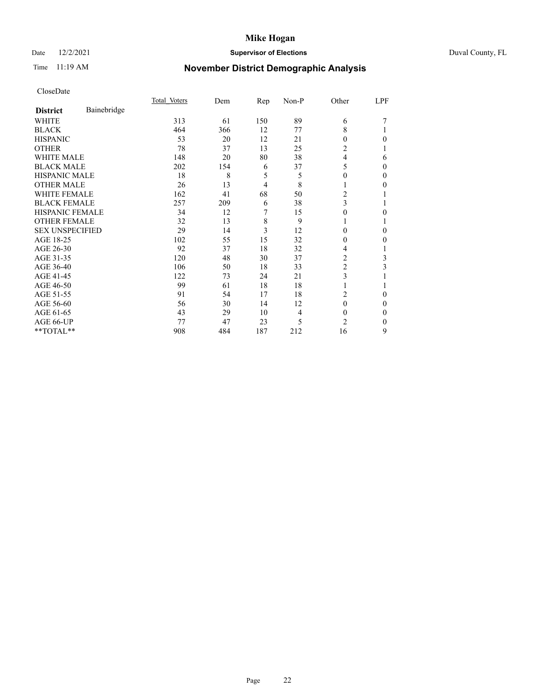### Date 12/2/2021 **Supervisor of Elections** Duval County, FL

## Time 11:19 AM **November District Demographic Analysis**

|                        |             | Total Voters | Dem | Rep | Non-P | Other          | LPF |
|------------------------|-------------|--------------|-----|-----|-------|----------------|-----|
| <b>District</b>        | Bainebridge |              |     |     |       |                |     |
| WHITE                  |             | 313          | 61  | 150 | 89    | 6              |     |
| <b>BLACK</b>           |             | 464          | 366 | 12  | 77    | 8              |     |
| <b>HISPANIC</b>        |             | 53           | 20  | 12  | 21    | 0              | 0   |
| <b>OTHER</b>           |             | 78           | 37  | 13  | 25    | 2              |     |
| WHITE MALE             |             | 148          | 20  | 80  | 38    | 4              | 6   |
| <b>BLACK MALE</b>      |             | 202          | 154 | 6   | 37    | 5              | 0   |
| <b>HISPANIC MALE</b>   |             | 18           | 8   | 5   | 5     | 0              | 0   |
| <b>OTHER MALE</b>      |             | 26           | 13  | 4   | 8     | 1              | 0   |
| <b>WHITE FEMALE</b>    |             | 162          | 41  | 68  | 50    | 2              |     |
| <b>BLACK FEMALE</b>    |             | 257          | 209 | 6   | 38    | 3              |     |
| <b>HISPANIC FEMALE</b> |             | 34           | 12  | 7   | 15    | 0              | 0   |
| <b>OTHER FEMALE</b>    |             | 32           | 13  | 8   | 9     | 1              |     |
| <b>SEX UNSPECIFIED</b> |             | 29           | 14  | 3   | 12    | 0              | 0   |
| AGE 18-25              |             | 102          | 55  | 15  | 32    | 0              | 0   |
| AGE 26-30              |             | 92           | 37  | 18  | 32    | 4              |     |
| AGE 31-35              |             | 120          | 48  | 30  | 37    | 2              | 3   |
| AGE 36-40              |             | 106          | 50  | 18  | 33    | 2              | 3   |
| AGE 41-45              |             | 122          | 73  | 24  | 21    | 3              |     |
| AGE 46-50              |             | 99           | 61  | 18  | 18    | 1              |     |
| AGE 51-55              |             | 91           | 54  | 17  | 18    | 2              | 0   |
| AGE 56-60              |             | 56           | 30  | 14  | 12    | $\theta$       | 0   |
| AGE 61-65              |             | 43           | 29  | 10  | 4     | $\Omega$       | 0   |
| AGE 66-UP              |             | 77           | 47  | 23  | 5     | $\overline{c}$ | 0   |
| **TOTAL**              |             | 908          | 484 | 187 | 212   | 16             | 9   |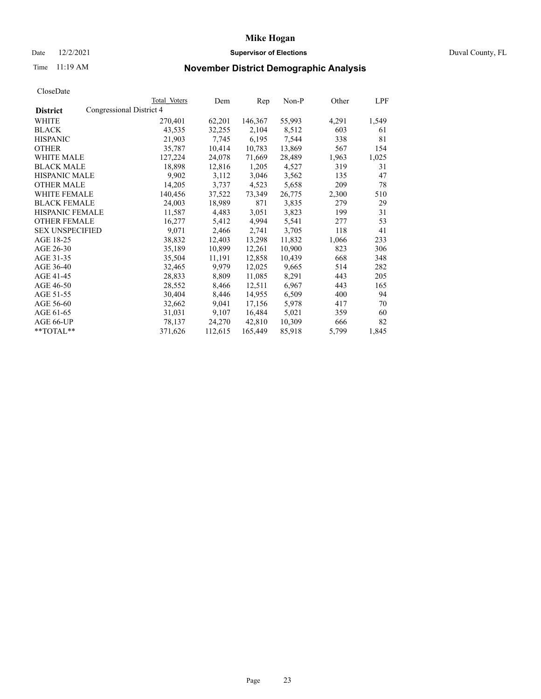### Date 12/2/2021 **Supervisor of Elections** Duval County, FL

# Time 11:19 AM **November District Demographic Analysis**

|                        |                          | Total Voters | Dem     | Rep     | Non-P  | Other | LPF   |
|------------------------|--------------------------|--------------|---------|---------|--------|-------|-------|
| <b>District</b>        | Congressional District 4 |              |         |         |        |       |       |
| WHITE                  |                          | 270,401      | 62,201  | 146,367 | 55,993 | 4,291 | 1,549 |
| <b>BLACK</b>           |                          | 43,535       | 32,255  | 2,104   | 8,512  | 603   | 61    |
| <b>HISPANIC</b>        |                          | 21,903       | 7,745   | 6,195   | 7,544  | 338   | 81    |
| <b>OTHER</b>           |                          | 35,787       | 10,414  | 10,783  | 13,869 | 567   | 154   |
| <b>WHITE MALE</b>      |                          | 127,224      | 24,078  | 71,669  | 28,489 | 1,963 | 1,025 |
| <b>BLACK MALE</b>      |                          | 18,898       | 12,816  | 1,205   | 4,527  | 319   | 31    |
| <b>HISPANIC MALE</b>   |                          | 9,902        | 3,112   | 3,046   | 3,562  | 135   | 47    |
| <b>OTHER MALE</b>      |                          | 14,205       | 3,737   | 4,523   | 5,658  | 209   | 78    |
| <b>WHITE FEMALE</b>    |                          | 140,456      | 37,522  | 73,349  | 26,775 | 2,300 | 510   |
| <b>BLACK FEMALE</b>    |                          | 24,003       | 18,989  | 871     | 3,835  | 279   | 29    |
| <b>HISPANIC FEMALE</b> |                          | 11,587       | 4,483   | 3,051   | 3,823  | 199   | 31    |
| <b>OTHER FEMALE</b>    |                          | 16,277       | 5,412   | 4,994   | 5,541  | 277   | 53    |
| <b>SEX UNSPECIFIED</b> |                          | 9,071        | 2,466   | 2,741   | 3,705  | 118   | 41    |
| AGE 18-25              |                          | 38,832       | 12,403  | 13,298  | 11,832 | 1,066 | 233   |
| AGE 26-30              |                          | 35,189       | 10,899  | 12,261  | 10,900 | 823   | 306   |
| AGE 31-35              |                          | 35,504       | 11,191  | 12,858  | 10,439 | 668   | 348   |
| AGE 36-40              |                          | 32,465       | 9,979   | 12,025  | 9,665  | 514   | 282   |
| AGE 41-45              |                          | 28,833       | 8,809   | 11,085  | 8,291  | 443   | 205   |
| AGE 46-50              |                          | 28,552       | 8,466   | 12,511  | 6,967  | 443   | 165   |
| AGE 51-55              |                          | 30,404       | 8,446   | 14,955  | 6,509  | 400   | 94    |
| AGE 56-60              |                          | 32,662       | 9,041   | 17,156  | 5,978  | 417   | 70    |
| AGE 61-65              |                          | 31,031       | 9,107   | 16,484  | 5,021  | 359   | 60    |
| AGE 66-UP              |                          | 78,137       | 24,270  | 42,810  | 10,309 | 666   | 82    |
| $*$ $TOTAL**$          |                          | 371,626      | 112,615 | 165,449 | 85,918 | 5,799 | 1,845 |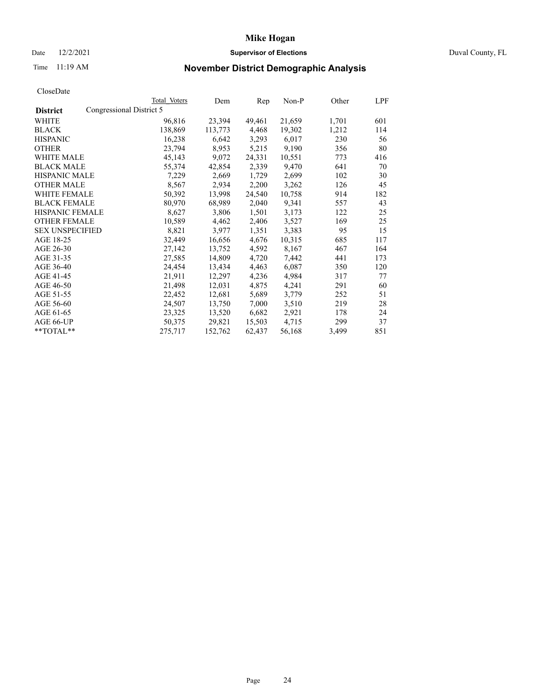### Date 12/2/2021 **Supervisor of Elections Supervisor of Elections** Duval County, FL

## Time 11:19 AM **November District Demographic Analysis**

|                        |                          | Total Voters | Dem     | Rep    | $Non-P$ | Other | LPF |
|------------------------|--------------------------|--------------|---------|--------|---------|-------|-----|
| <b>District</b>        | Congressional District 5 |              |         |        |         |       |     |
| WHITE                  |                          | 96,816       | 23,394  | 49,461 | 21,659  | 1,701 | 601 |
| <b>BLACK</b>           |                          | 138,869      | 113,773 | 4,468  | 19,302  | 1,212 | 114 |
| <b>HISPANIC</b>        |                          | 16,238       | 6,642   | 3,293  | 6,017   | 230   | 56  |
| <b>OTHER</b>           |                          | 23,794       | 8,953   | 5,215  | 9,190   | 356   | 80  |
| <b>WHITE MALE</b>      |                          | 45,143       | 9,072   | 24,331 | 10,551  | 773   | 416 |
| <b>BLACK MALE</b>      |                          | 55,374       | 42,854  | 2,339  | 9,470   | 641   | 70  |
| <b>HISPANIC MALE</b>   |                          | 7,229        | 2,669   | 1,729  | 2,699   | 102   | 30  |
| <b>OTHER MALE</b>      |                          | 8,567        | 2,934   | 2,200  | 3,262   | 126   | 45  |
| <b>WHITE FEMALE</b>    |                          | 50,392       | 13,998  | 24,540 | 10,758  | 914   | 182 |
| <b>BLACK FEMALE</b>    |                          | 80,970       | 68,989  | 2,040  | 9,341   | 557   | 43  |
| HISPANIC FEMALE        |                          | 8,627        | 3,806   | 1,501  | 3,173   | 122   | 25  |
| <b>OTHER FEMALE</b>    |                          | 10,589       | 4,462   | 2,406  | 3,527   | 169   | 25  |
| <b>SEX UNSPECIFIED</b> |                          | 8,821        | 3,977   | 1,351  | 3,383   | 95    | 15  |
| AGE 18-25              |                          | 32,449       | 16,656  | 4,676  | 10,315  | 685   | 117 |
| AGE 26-30              |                          | 27,142       | 13,752  | 4,592  | 8,167   | 467   | 164 |
| AGE 31-35              |                          | 27,585       | 14,809  | 4,720  | 7,442   | 441   | 173 |
| AGE 36-40              |                          | 24,454       | 13,434  | 4,463  | 6,087   | 350   | 120 |
| AGE 41-45              |                          | 21,911       | 12,297  | 4,236  | 4,984   | 317   | 77  |
| AGE 46-50              |                          | 21,498       | 12,031  | 4,875  | 4,241   | 291   | 60  |
| AGE 51-55              |                          | 22,452       | 12,681  | 5,689  | 3,779   | 252   | 51  |
| AGE 56-60              |                          | 24,507       | 13,750  | 7,000  | 3,510   | 219   | 28  |
| AGE 61-65              |                          | 23,325       | 13,520  | 6,682  | 2,921   | 178   | 24  |
| AGE 66-UP              |                          | 50,375       | 29,821  | 15,503 | 4,715   | 299   | 37  |
| **TOTAL**              |                          | 275,717      | 152,762 | 62,437 | 56,168  | 3,499 | 851 |
|                        |                          |              |         |        |         |       |     |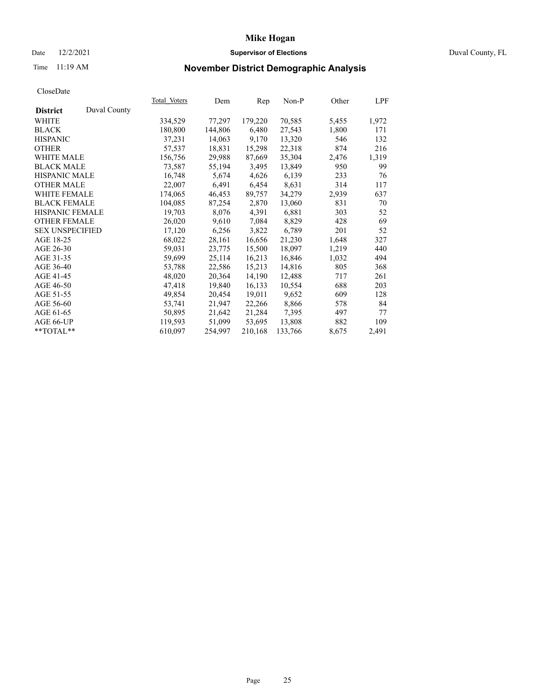### Date 12/2/2021 **Supervisor of Elections Supervisor of Elections** Duval County, FL

## Time 11:19 AM **November District Demographic Analysis**

|                        |              | Total Voters | Dem     | Rep     | $Non-P$ | Other | LPF   |
|------------------------|--------------|--------------|---------|---------|---------|-------|-------|
| <b>District</b>        | Duval County |              |         |         |         |       |       |
| WHITE                  |              | 334,529      | 77,297  | 179,220 | 70,585  | 5,455 | 1,972 |
| <b>BLACK</b>           |              | 180,800      | 144,806 | 6,480   | 27,543  | 1,800 | 171   |
| <b>HISPANIC</b>        |              | 37,231       | 14,063  | 9,170   | 13,320  | 546   | 132   |
| <b>OTHER</b>           |              | 57,537       | 18,831  | 15,298  | 22,318  | 874   | 216   |
| <b>WHITE MALE</b>      |              | 156,756      | 29,988  | 87,669  | 35,304  | 2,476 | 1,319 |
| <b>BLACK MALE</b>      |              | 73,587       | 55,194  | 3,495   | 13,849  | 950   | 99    |
| <b>HISPANIC MALE</b>   |              | 16,748       | 5,674   | 4,626   | 6,139   | 233   | 76    |
| <b>OTHER MALE</b>      |              | 22,007       | 6,491   | 6,454   | 8,631   | 314   | 117   |
| <b>WHITE FEMALE</b>    |              | 174,065      | 46,453  | 89,757  | 34,279  | 2,939 | 637   |
| <b>BLACK FEMALE</b>    |              | 104,085      | 87,254  | 2,870   | 13,060  | 831   | 70    |
| HISPANIC FEMALE        |              | 19,703       | 8,076   | 4,391   | 6,881   | 303   | 52    |
| <b>OTHER FEMALE</b>    |              | 26,020       | 9,610   | 7,084   | 8,829   | 428   | 69    |
| <b>SEX UNSPECIFIED</b> |              | 17,120       | 6,256   | 3,822   | 6,789   | 201   | 52    |
| AGE 18-25              |              | 68,022       | 28,161  | 16,656  | 21,230  | 1,648 | 327   |
| AGE 26-30              |              | 59,031       | 23,775  | 15,500  | 18,097  | 1,219 | 440   |
| AGE 31-35              |              | 59,699       | 25,114  | 16,213  | 16,846  | 1,032 | 494   |
| AGE 36-40              |              | 53,788       | 22,586  | 15,213  | 14,816  | 805   | 368   |
| AGE 41-45              |              | 48,020       | 20,364  | 14,190  | 12,488  | 717   | 261   |
| AGE 46-50              |              | 47,418       | 19,840  | 16,133  | 10,554  | 688   | 203   |
| AGE 51-55              |              | 49,854       | 20,454  | 19,011  | 9,652   | 609   | 128   |
| AGE 56-60              |              | 53,741       | 21,947  | 22,266  | 8,866   | 578   | 84    |
| AGE 61-65              |              | 50,895       | 21,642  | 21,284  | 7,395   | 497   | 77    |
| AGE 66-UP              |              | 119,593      | 51,099  | 53,695  | 13,808  | 882   | 109   |
| **TOTAL**              |              | 610,097      | 254,997 | 210,168 | 133,766 | 8,675 | 2,491 |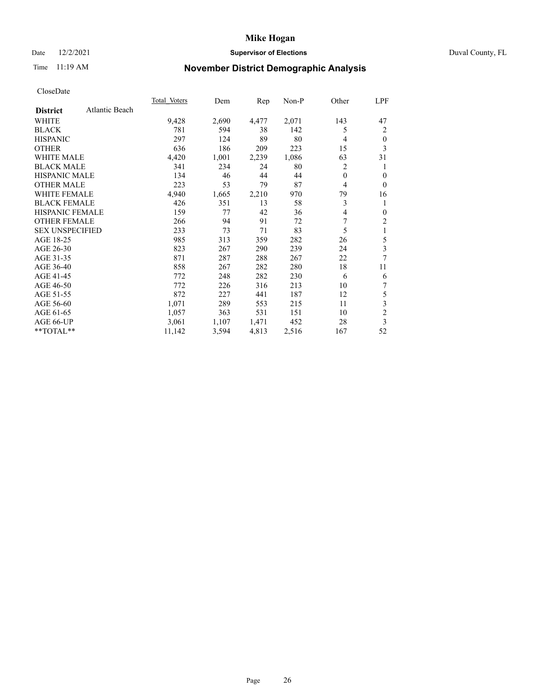### Date 12/2/2021 **Supervisor of Elections Supervisor of Elections** Duval County, FL

## Time 11:19 AM **November District Demographic Analysis**

| Atlantic Beach<br><b>District</b><br>9,428<br>2,071<br>143<br>WHITE<br>2,690<br>4,477<br>781<br><b>BLACK</b><br>594<br>38<br>142<br>5 | 47<br>2<br>$\mathbf{0}$ |
|---------------------------------------------------------------------------------------------------------------------------------------|-------------------------|
|                                                                                                                                       |                         |
|                                                                                                                                       |                         |
|                                                                                                                                       |                         |
| 89<br>297<br>80<br><b>HISPANIC</b><br>124<br>$\overline{4}$                                                                           |                         |
| <b>OTHER</b><br>636<br>186<br>209<br>223<br>15                                                                                        | 3                       |
| <b>WHITE MALE</b><br>4,420<br>2,239<br>1,086<br>1,001<br>63                                                                           | 31                      |
| <b>BLACK MALE</b><br>234<br>2<br>341<br>24<br>80                                                                                      | 1                       |
| <b>HISPANIC MALE</b><br>134<br>46<br>44<br>44<br>$\mathbf{0}$                                                                         | $\theta$                |
| 87<br><b>OTHER MALE</b><br>223<br>53<br>79<br>$\overline{4}$                                                                          | $\theta$                |
| <b>WHITE FEMALE</b><br>4,940<br>79<br>1,665<br>2,210<br>970                                                                           | 16                      |
| 3<br><b>BLACK FEMALE</b><br>13<br>58<br>426<br>351                                                                                    | 1                       |
| <b>HISPANIC FEMALE</b><br>159<br>77<br>42<br>36<br>4                                                                                  | $\mathbf{0}$            |
| 7<br><b>OTHER FEMALE</b><br>91<br>266<br>94<br>72                                                                                     | $\overline{c}$          |
| 5<br><b>SEX UNSPECIFIED</b><br>233<br>73<br>71<br>83                                                                                  | 1                       |
| AGE 18-25<br>985<br>359<br>282<br>26<br>313                                                                                           | 5                       |
| AGE 26-30<br>823<br>267<br>290<br>239<br>24                                                                                           | 3                       |
| 871<br>287<br>288<br>22<br>AGE 31-35<br>267                                                                                           | 7                       |
| 858<br>AGE 36-40<br>267<br>282<br>280<br>18                                                                                           | 11                      |
| AGE 41-45<br>772<br>248<br>282<br>230<br>6                                                                                            | 6                       |
| AGE 46-50<br>772<br>226<br>316<br>10<br>213                                                                                           | 7                       |
| AGE 51-55<br>872<br>227<br>187<br>12<br>441                                                                                           | 5                       |
| 1,071<br>289<br>11<br>AGE 56-60<br>553<br>215                                                                                         | 3                       |
| 363<br>AGE 61-65<br>1,057<br>531<br>10<br>151                                                                                         | $\overline{c}$          |
| AGE 66-UP<br>3,061<br>1,107<br>1,471<br>452<br>28                                                                                     | 3                       |
| $*$ $TOTAL**$<br>11,142<br>3,594<br>4,813<br>2,516<br>167                                                                             | 52                      |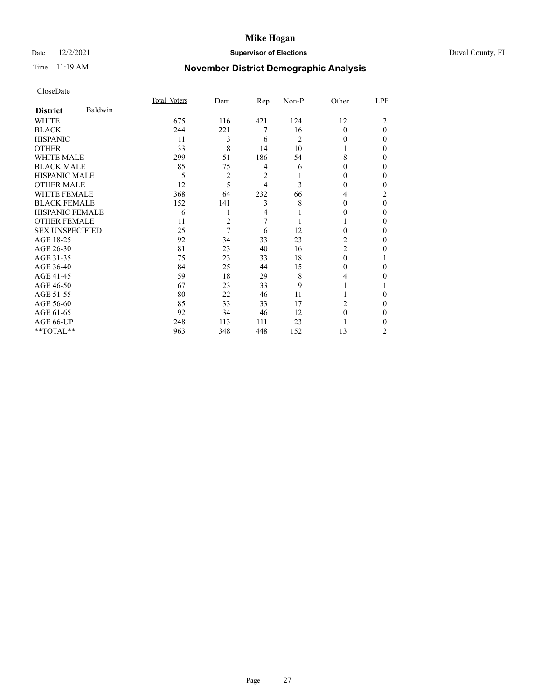### Date 12/2/2021 **Supervisor of Elections** Duval County, FL

## Time 11:19 AM **November District Demographic Analysis**

|                        |         | Total Voters | Dem | Rep            | Non-P          | Other    | LPF      |
|------------------------|---------|--------------|-----|----------------|----------------|----------|----------|
| <b>District</b>        | Baldwin |              |     |                |                |          |          |
| WHITE                  |         | 675          | 116 | 421            | 124            | 12       | 2        |
| <b>BLACK</b>           |         | 244          | 221 | 7              | 16             | $\Omega$ | $\theta$ |
| <b>HISPANIC</b>        |         | 11           | 3   | 6              | $\overline{c}$ | $_{0}$   | $\Omega$ |
| <b>OTHER</b>           |         | 33           | 8   | 14             | 10             |          | 0        |
| WHITE MALE             |         | 299          | 51  | 186            | 54             | 8        | 0        |
| <b>BLACK MALE</b>      |         | 85           | 75  | 4              | 6              | $_{0}$   | 0        |
| HISPANIC MALE          |         | 5            | 2   | 2              |                | 0        | 0        |
| <b>OTHER MALE</b>      |         | 12           | 5   | 4              | 3              | 0        | 0        |
| WHITE FEMALE           |         | 368          | 64  | 232            | 66             | 4        | 2        |
| <b>BLACK FEMALE</b>    |         | 152          | 141 | 3              | 8              | $\Omega$ | $\theta$ |
| <b>HISPANIC FEMALE</b> |         | 6            |     | $\overline{4}$ |                | $_{0}$   | 0        |
| <b>OTHER FEMALE</b>    |         | 11           | 2   | 7              |                |          | 0        |
| <b>SEX UNSPECIFIED</b> |         | 25           | 7   | 6              | 12             | 0        | 0        |
| AGE 18-25              |         | 92           | 34  | 33             | 23             | 2        | 0        |
| AGE 26-30              |         | 81           | 23  | 40             | 16             | 2        | 0        |
| AGE 31-35              |         | 75           | 23  | 33             | 18             | 0        |          |
| AGE 36-40              |         | 84           | 25  | 44             | 15             | 0        | 0        |
| AGE 41-45              |         | 59           | 18  | 29             | 8              | 4        | 0        |
| AGE 46-50              |         | 67           | 23  | 33             | 9              |          |          |
| AGE 51-55              |         | 80           | 22  | 46             | 11             |          | 0        |
| AGE 56-60              |         | 85           | 33  | 33             | 17             | 2        | 0        |
| AGE 61-65              |         | 92           | 34  | 46             | 12             | 0        | 0        |
| AGE 66-UP              |         | 248          | 113 | 111            | 23             |          | 0        |
| **TOTAL**              |         | 963          | 348 | 448            | 152            | 13       | 2        |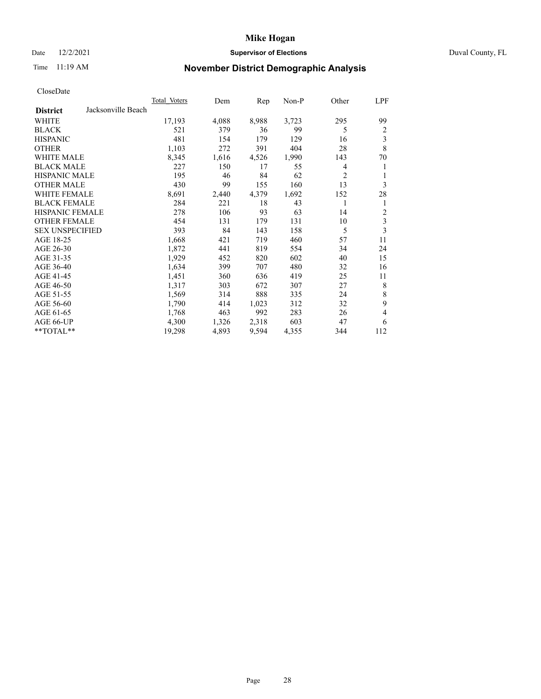### Date 12/2/2021 **Supervisor of Elections Supervisor of Elections** Duval County, FL

## Time 11:19 AM **November District Demographic Analysis**

| Total Voters | Dem   | Rep   | Non-P | Other          | LPF |
|--------------|-------|-------|-------|----------------|-----|
|              |       |       |       |                |     |
| 17,193       | 4,088 | 8,988 | 3,723 | 295            | 99  |
| 521          | 379   | 36    | 99    | 5              | 2   |
| 481          | 154   | 179   | 129   | 16             | 3   |
| 1,103        | 272   | 391   | 404   | 28             | 8   |
| 8,345        | 1,616 | 4,526 | 1,990 | 143            | 70  |
| 227          | 150   | 17    | 55    | 4              | 1   |
| 195          | 46    | 84    | 62    | $\overline{2}$ | 1   |
| 430          | 99    | 155   | 160   | 13             | 3   |
| 8,691        | 2,440 | 4,379 | 1,692 | 152            | 28  |
| 284          | 221   | 18    | 43    | 1              | 1   |
| 278          | 106   | 93    | 63    | 14             | 2   |
| 454          | 131   | 179   | 131   | 10             | 3   |
| 393          | 84    | 143   | 158   | 5              | 3   |
| 1,668        | 421   | 719   | 460   | 57             | 11  |
| 1,872        | 441   | 819   | 554   | 34             | 24  |
| 1,929        | 452   | 820   | 602   | 40             | 15  |
| 1,634        | 399   | 707   | 480   | 32             | 16  |
| 1,451        | 360   | 636   | 419   | 25             | 11  |
| 1,317        | 303   | 672   | 307   | 27             | 8   |
| 1,569        | 314   | 888   | 335   | 24             | 8   |
| 1,790        | 414   | 1,023 | 312   | 32             | 9   |
| 1,768        | 463   | 992   | 283   | 26             | 4   |
| 4,300        | 1,326 | 2,318 | 603   | 47             | 6   |
| 19,298       | 4,893 | 9,594 | 4,355 | 344            | 112 |
|              |       |       |       |                |     |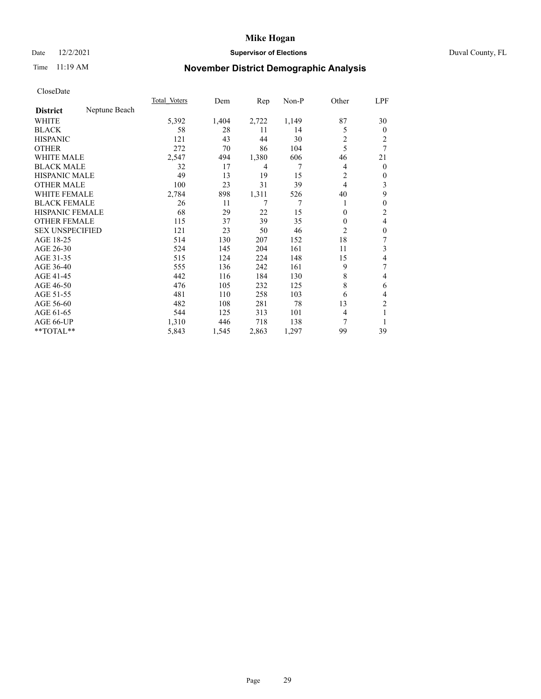### Date 12/2/2021 **Supervisor of Elections Supervisor of Elections** Duval County, FL

## Time 11:19 AM **November District Demographic Analysis**

|                                  | Total Voters | Dem   | Rep   | Non-P | Other    | LPF          |
|----------------------------------|--------------|-------|-------|-------|----------|--------------|
| Neptune Beach<br><b>District</b> |              |       |       |       |          |              |
| WHITE                            | 5,392        | 1,404 | 2,722 | 1,149 | 87       | 30           |
| <b>BLACK</b>                     | 58           | 28    | 11    | 14    | 5        | $\mathbf{0}$ |
| <b>HISPANIC</b>                  | 121          | 43    | 44    | 30    | 2        | 2            |
| <b>OTHER</b>                     | 272          | 70    | 86    | 104   | 5        | 7            |
| <b>WHITE MALE</b>                | 2,547        | 494   | 1,380 | 606   | 46       | 21           |
| <b>BLACK MALE</b>                | 32           | 17    | 4     | 7     | 4        | $\mathbf{0}$ |
| <b>HISPANIC MALE</b>             | 49           | 13    | 19    | 15    | 2        | $\mathbf{0}$ |
| <b>OTHER MALE</b>                | 100          | 23    | 31    | 39    | 4        | 3            |
| <b>WHITE FEMALE</b>              | 2,784        | 898   | 1,311 | 526   | 40       | 9            |
| <b>BLACK FEMALE</b>              | 26           | 11    | 7     | 7     |          | $\theta$     |
| <b>HISPANIC FEMALE</b>           | 68           | 29    | 22    | 15    | $\theta$ | 2            |
| <b>OTHER FEMALE</b>              | 115          | 37    | 39    | 35    | $\Omega$ | 4            |
| <b>SEX UNSPECIFIED</b>           | 121          | 23    | 50    | 46    | 2        | $\theta$     |
| AGE 18-25                        | 514          | 130   | 207   | 152   | 18       | 7            |
| AGE 26-30                        | 524          | 145   | 204   | 161   | 11       | 3            |
| AGE 31-35                        | 515          | 124   | 224   | 148   | 15       | 4            |
| AGE 36-40                        | 555          | 136   | 242   | 161   | 9        | 7            |
| AGE 41-45                        | 442          | 116   | 184   | 130   | 8        | 4            |
| AGE 46-50                        | 476          | 105   | 232   | 125   | 8        | 6            |
| AGE 51-55                        | 481          | 110   | 258   | 103   | 6        | 4            |
| AGE 56-60                        | 482          | 108   | 281   | 78    | 13       | 2            |
| AGE 61-65                        | 544          | 125   | 313   | 101   | 4        | 1            |
| AGE 66-UP                        | 1,310        | 446   | 718   | 138   | 7        |              |
| **TOTAL**                        | 5,843        | 1,545 | 2,863 | 1,297 | 99       | 39           |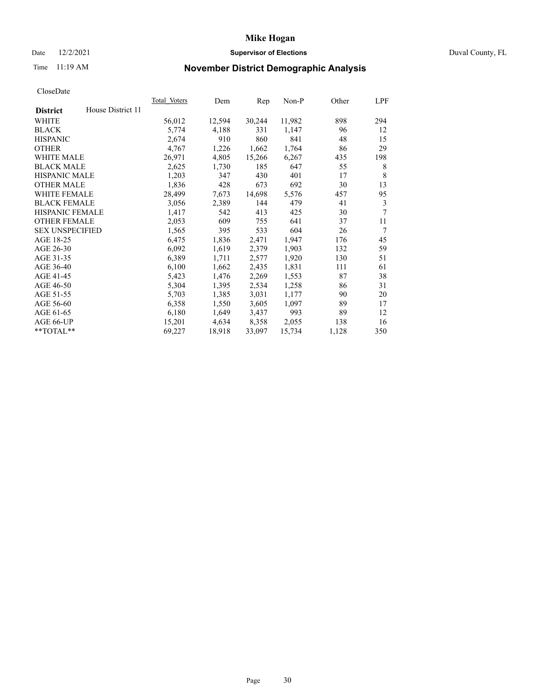#### Date 12/2/2021 **Supervisor of Elections** Duval County, FL

## Time 11:19 AM **November District Demographic Analysis**

| Total Voters | Dem    | Rep    | Non-P  | Other | LPF |
|--------------|--------|--------|--------|-------|-----|
|              |        |        |        |       |     |
| 56,012       | 12,594 | 30,244 | 11,982 | 898   | 294 |
| 5,774        | 4,188  | 331    | 1,147  | 96    | 12  |
| 2,674        | 910    | 860    | 841    | 48    | 15  |
| 4,767        | 1,226  | 1,662  | 1,764  | 86    | 29  |
| 26,971       | 4,805  | 15,266 | 6,267  | 435   | 198 |
| 2,625        | 1,730  | 185    | 647    | 55    | 8   |
| 1,203        | 347    | 430    | 401    | 17    | 8   |
| 1,836        | 428    | 673    | 692    | 30    | 13  |
| 28,499       | 7,673  | 14,698 | 5,576  | 457   | 95  |
| 3,056        | 2,389  | 144    | 479    | 41    | 3   |
| 1,417        | 542    | 413    | 425    | 30    | 7   |
| 2,053        | 609    | 755    | 641    | 37    | 11  |
| 1,565        | 395    | 533    | 604    | 26    | 7   |
| 6,475        | 1,836  | 2,471  | 1,947  | 176   | 45  |
| 6,092        | 1,619  | 2,379  | 1,903  | 132   | 59  |
| 6,389        | 1,711  | 2,577  | 1,920  | 130   | 51  |
| 6,100        | 1,662  | 2,435  | 1,831  | 111   | 61  |
| 5,423        | 1,476  | 2,269  | 1,553  | 87    | 38  |
| 5,304        | 1,395  | 2,534  | 1,258  | 86    | 31  |
| 5,703        | 1,385  | 3,031  | 1,177  | 90    | 20  |
| 6,358        | 1,550  | 3,605  | 1,097  | 89    | 17  |
| 6,180        | 1,649  | 3,437  | 993    | 89    | 12  |
| 15,201       | 4,634  | 8,358  | 2,055  | 138   | 16  |
| 69,227       | 18,918 | 33,097 | 15,734 | 1,128 | 350 |
|              |        |        |        |       |     |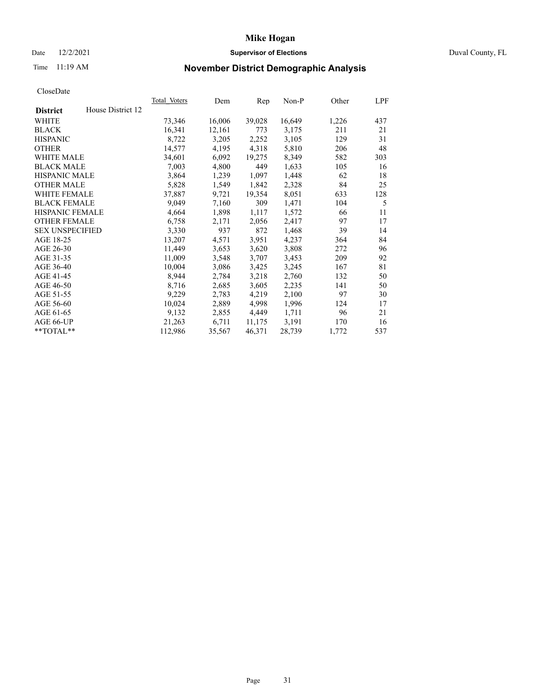### Date 12/2/2021 **Supervisor of Elections Supervisor of Elections** Duval County, FL

## Time 11:19 AM **November District Demographic Analysis**

|                        |                   | Total Voters | Dem    | Rep    | $Non-P$ | Other | LPF |
|------------------------|-------------------|--------------|--------|--------|---------|-------|-----|
| <b>District</b>        | House District 12 |              |        |        |         |       |     |
| WHITE                  |                   | 73,346       | 16,006 | 39,028 | 16,649  | 1,226 | 437 |
| <b>BLACK</b>           |                   | 16,341       | 12,161 | 773    | 3,175   | 211   | 21  |
| <b>HISPANIC</b>        |                   | 8,722        | 3,205  | 2,252  | 3,105   | 129   | 31  |
| <b>OTHER</b>           |                   | 14,577       | 4,195  | 4,318  | 5,810   | 206   | 48  |
| <b>WHITE MALE</b>      |                   | 34,601       | 6,092  | 19,275 | 8,349   | 582   | 303 |
| <b>BLACK MALE</b>      |                   | 7,003        | 4,800  | 449    | 1,633   | 105   | 16  |
| <b>HISPANIC MALE</b>   |                   | 3,864        | 1,239  | 1,097  | 1,448   | 62    | 18  |
| <b>OTHER MALE</b>      |                   | 5,828        | 1,549  | 1,842  | 2,328   | 84    | 25  |
| WHITE FEMALE           |                   | 37,887       | 9,721  | 19,354 | 8,051   | 633   | 128 |
| <b>BLACK FEMALE</b>    |                   | 9,049        | 7,160  | 309    | 1,471   | 104   | 5   |
| HISPANIC FEMALE        |                   | 4,664        | 1,898  | 1,117  | 1,572   | 66    | 11  |
| <b>OTHER FEMALE</b>    |                   | 6,758        | 2,171  | 2,056  | 2,417   | 97    | 17  |
| <b>SEX UNSPECIFIED</b> |                   | 3,330        | 937    | 872    | 1,468   | 39    | 14  |
| AGE 18-25              |                   | 13,207       | 4,571  | 3,951  | 4,237   | 364   | 84  |
| AGE 26-30              |                   | 11,449       | 3,653  | 3,620  | 3,808   | 272   | 96  |
| AGE 31-35              |                   | 11,009       | 3,548  | 3,707  | 3,453   | 209   | 92  |
| AGE 36-40              |                   | 10,004       | 3,086  | 3,425  | 3,245   | 167   | 81  |
| AGE 41-45              |                   | 8,944        | 2,784  | 3,218  | 2,760   | 132   | 50  |
| AGE 46-50              |                   | 8,716        | 2,685  | 3,605  | 2,235   | 141   | 50  |
| AGE 51-55              |                   | 9,229        | 2,783  | 4,219  | 2,100   | 97    | 30  |
| AGE 56-60              |                   | 10,024       | 2,889  | 4,998  | 1,996   | 124   | 17  |
| AGE 61-65              |                   | 9,132        | 2,855  | 4,449  | 1,711   | 96    | 21  |
| AGE 66-UP              |                   | 21,263       | 6,711  | 11,175 | 3,191   | 170   | 16  |
| **TOTAL**              |                   | 112,986      | 35,567 | 46,371 | 28,739  | 1,772 | 537 |
|                        |                   |              |        |        |         |       |     |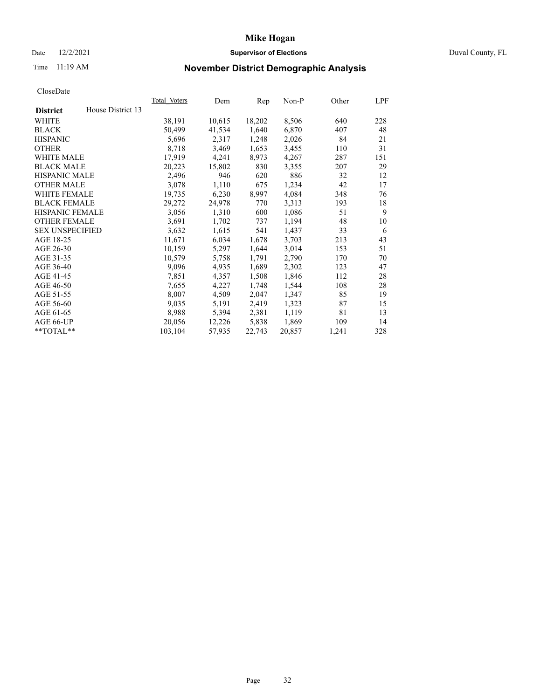### Date 12/2/2021 **Supervisor of Elections Supervisor of Elections** Duval County, FL

## Time 11:19 AM **November District Demographic Analysis**

|                                      | Total Voters | Dem    | Rep    | $Non-P$ | Other | LPF |
|--------------------------------------|--------------|--------|--------|---------|-------|-----|
| House District 13<br><b>District</b> |              |        |        |         |       |     |
| WHITE                                | 38,191       | 10,615 | 18,202 | 8,506   | 640   | 228 |
| <b>BLACK</b>                         | 50,499       | 41,534 | 1,640  | 6,870   | 407   | 48  |
| <b>HISPANIC</b>                      | 5,696        | 2,317  | 1,248  | 2,026   | 84    | 21  |
| <b>OTHER</b>                         | 8,718        | 3,469  | 1,653  | 3,455   | 110   | 31  |
| <b>WHITE MALE</b>                    | 17,919       | 4,241  | 8,973  | 4,267   | 287   | 151 |
| <b>BLACK MALE</b>                    | 20,223       | 15,802 | 830    | 3,355   | 207   | 29  |
| <b>HISPANIC MALE</b>                 | 2,496        | 946    | 620    | 886     | 32    | 12  |
| <b>OTHER MALE</b>                    | 3,078        | 1,110  | 675    | 1,234   | 42    | 17  |
| WHITE FEMALE                         | 19,735       | 6,230  | 8,997  | 4,084   | 348   | 76  |
| <b>BLACK FEMALE</b>                  | 29,272       | 24,978 | 770    | 3,313   | 193   | 18  |
| HISPANIC FEMALE                      | 3,056        | 1,310  | 600    | 1,086   | 51    | 9   |
| <b>OTHER FEMALE</b>                  | 3,691        | 1,702  | 737    | 1,194   | 48    | 10  |
| <b>SEX UNSPECIFIED</b>               | 3,632        | 1,615  | 541    | 1,437   | 33    | 6   |
| AGE 18-25                            | 11,671       | 6,034  | 1,678  | 3,703   | 213   | 43  |
| AGE 26-30                            | 10,159       | 5,297  | 1,644  | 3,014   | 153   | 51  |
| AGE 31-35                            | 10,579       | 5,758  | 1,791  | 2,790   | 170   | 70  |
| AGE 36-40                            | 9,096        | 4,935  | 1,689  | 2,302   | 123   | 47  |
| AGE 41-45                            | 7,851        | 4,357  | 1,508  | 1,846   | 112   | 28  |
| AGE 46-50                            | 7,655        | 4,227  | 1,748  | 1,544   | 108   | 28  |
| AGE 51-55                            | 8,007        | 4,509  | 2,047  | 1,347   | 85    | 19  |
| AGE 56-60                            | 9,035        | 5,191  | 2,419  | 1,323   | 87    | 15  |
| AGE 61-65                            | 8,988        | 5,394  | 2,381  | 1,119   | 81    | 13  |
| AGE 66-UP                            | 20,056       | 12,226 | 5,838  | 1,869   | 109   | 14  |
| **TOTAL**                            | 103,104      | 57,935 | 22,743 | 20,857  | 1,241 | 328 |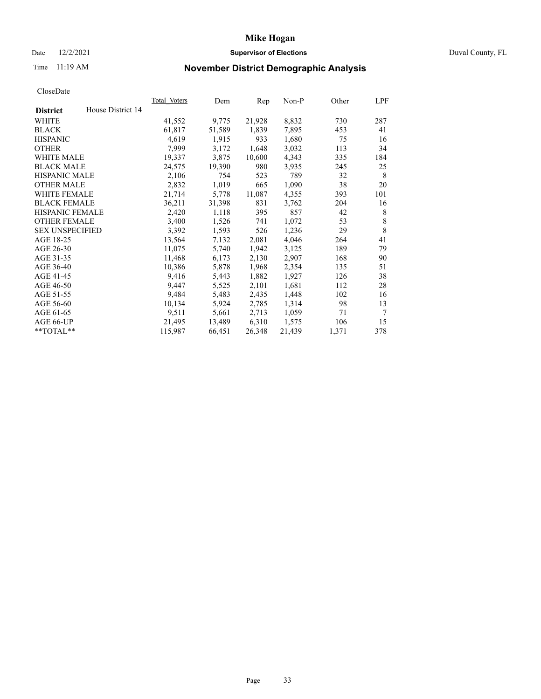### Date 12/2/2021 **Supervisor of Elections Supervisor of Elections** Duval County, FL

## Time 11:19 AM **November District Demographic Analysis**

|                                      | <b>Total Voters</b> | Dem    | Rep    | $Non-P$ | Other | LPF    |
|--------------------------------------|---------------------|--------|--------|---------|-------|--------|
| House District 14<br><b>District</b> |                     |        |        |         |       |        |
| WHITE                                | 41,552              | 9,775  | 21,928 | 8,832   | 730   | 287    |
| <b>BLACK</b>                         | 61,817              | 51,589 | 1,839  | 7,895   | 453   | 41     |
| <b>HISPANIC</b>                      | 4,619               | 1,915  | 933    | 1,680   | 75    | 16     |
| <b>OTHER</b>                         | 7,999               | 3,172  | 1,648  | 3,032   | 113   | 34     |
| WHITE MALE                           | 19,337              | 3,875  | 10,600 | 4,343   | 335   | 184    |
| <b>BLACK MALE</b>                    | 24,575              | 19,390 | 980    | 3,935   | 245   | 25     |
| <b>HISPANIC MALE</b>                 | 2,106               | 754    | 523    | 789     | 32    | 8      |
| <b>OTHER MALE</b>                    | 2,832               | 1,019  | 665    | 1,090   | 38    | 20     |
| WHITE FEMALE                         | 21,714              | 5,778  | 11,087 | 4,355   | 393   | 101    |
| <b>BLACK FEMALE</b>                  | 36,211              | 31,398 | 831    | 3,762   | 204   | 16     |
| HISPANIC FEMALE                      | 2,420               | 1,118  | 395    | 857     | 42    | 8      |
| <b>OTHER FEMALE</b>                  | 3,400               | 1,526  | 741    | 1,072   | 53    | 8      |
| <b>SEX UNSPECIFIED</b>               | 3,392               | 1,593  | 526    | 1,236   | 29    | 8      |
| AGE 18-25                            | 13,564              | 7,132  | 2,081  | 4,046   | 264   | 41     |
| AGE 26-30                            | 11,075              | 5,740  | 1,942  | 3,125   | 189   | 79     |
| AGE 31-35                            | 11,468              | 6,173  | 2,130  | 2,907   | 168   | 90     |
| AGE 36-40                            | 10,386              | 5,878  | 1,968  | 2,354   | 135   | 51     |
| AGE 41-45                            | 9,416               | 5,443  | 1,882  | 1,927   | 126   | 38     |
| AGE 46-50                            | 9,447               | 5,525  | 2,101  | 1,681   | 112   | 28     |
| AGE 51-55                            | 9,484               | 5,483  | 2,435  | 1,448   | 102   | 16     |
| AGE 56-60                            | 10,134              | 5,924  | 2,785  | 1,314   | 98    | 13     |
| AGE 61-65                            | 9,511               | 5,661  | 2,713  | 1,059   | 71    | $\tau$ |
| AGE 66-UP                            | 21,495              | 13,489 | 6,310  | 1,575   | 106   | 15     |
| **TOTAL**                            | 115,987             | 66,451 | 26,348 | 21,439  | 1,371 | 378    |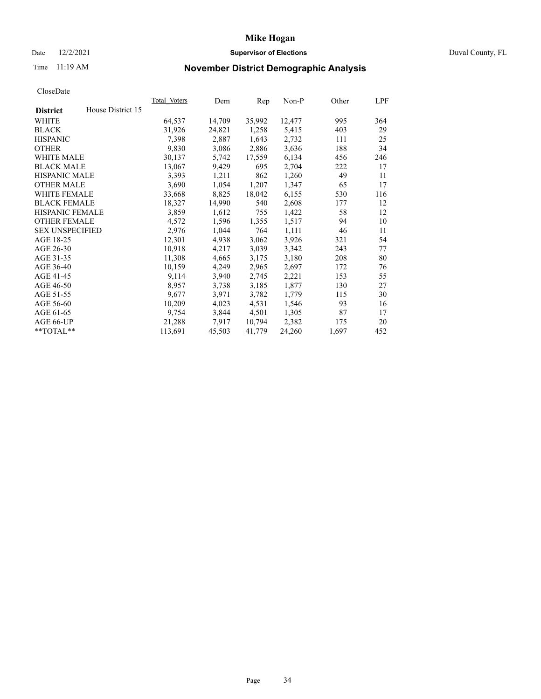### Date 12/2/2021 **Supervisor of Elections Supervisor of Elections** Duval County, FL

## Time 11:19 AM **November District Demographic Analysis**

|                                      | Total Voters | Dem    | Rep    | $Non-P$ | Other | LPF |
|--------------------------------------|--------------|--------|--------|---------|-------|-----|
| House District 15<br><b>District</b> |              |        |        |         |       |     |
| WHITE                                | 64,537       | 14,709 | 35,992 | 12,477  | 995   | 364 |
| <b>BLACK</b>                         | 31,926       | 24,821 | 1,258  | 5,415   | 403   | 29  |
| <b>HISPANIC</b>                      | 7,398        | 2,887  | 1,643  | 2,732   | 111   | 25  |
| <b>OTHER</b>                         | 9,830        | 3,086  | 2,886  | 3,636   | 188   | 34  |
| WHITE MALE                           | 30,137       | 5,742  | 17,559 | 6,134   | 456   | 246 |
| <b>BLACK MALE</b>                    | 13,067       | 9,429  | 695    | 2,704   | 222   | 17  |
| <b>HISPANIC MALE</b>                 | 3,393        | 1,211  | 862    | 1,260   | 49    | 11  |
| <b>OTHER MALE</b>                    | 3,690        | 1,054  | 1,207  | 1,347   | 65    | 17  |
| <b>WHITE FEMALE</b>                  | 33,668       | 8,825  | 18,042 | 6,155   | 530   | 116 |
| <b>BLACK FEMALE</b>                  | 18,327       | 14,990 | 540    | 2,608   | 177   | 12  |
| HISPANIC FEMALE                      | 3,859        | 1,612  | 755    | 1,422   | 58    | 12  |
| <b>OTHER FEMALE</b>                  | 4,572        | 1,596  | 1,355  | 1,517   | 94    | 10  |
| <b>SEX UNSPECIFIED</b>               | 2,976        | 1,044  | 764    | 1,111   | 46    | 11  |
| AGE 18-25                            | 12,301       | 4,938  | 3,062  | 3,926   | 321   | 54  |
| AGE 26-30                            | 10,918       | 4,217  | 3,039  | 3,342   | 243   | 77  |
| AGE 31-35                            | 11,308       | 4,665  | 3,175  | 3,180   | 208   | 80  |
| AGE 36-40                            | 10,159       | 4,249  | 2,965  | 2,697   | 172   | 76  |
| AGE 41-45                            | 9,114        | 3,940  | 2,745  | 2,221   | 153   | 55  |
| AGE 46-50                            | 8,957        | 3,738  | 3,185  | 1,877   | 130   | 27  |
| AGE 51-55                            | 9,677        | 3,971  | 3,782  | 1,779   | 115   | 30  |
| AGE 56-60                            | 10,209       | 4,023  | 4,531  | 1,546   | 93    | 16  |
| AGE 61-65                            | 9,754        | 3,844  | 4,501  | 1,305   | 87    | 17  |
| AGE 66-UP                            | 21,288       | 7,917  | 10,794 | 2,382   | 175   | 20  |
| **TOTAL**                            | 113,691      | 45,503 | 41,779 | 24,260  | 1,697 | 452 |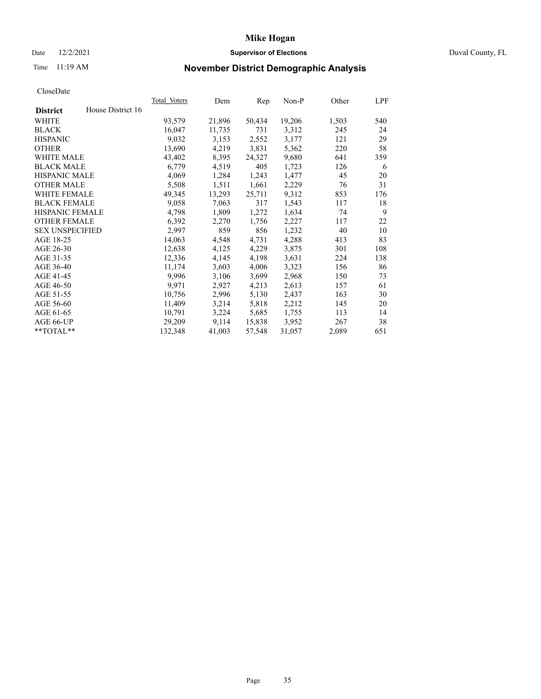### Date 12/2/2021 **Supervisor of Elections Supervisor of Elections** Duval County, FL

## Time 11:19 AM **November District Demographic Analysis**

|                        |                   | Total Voters | Dem    | Rep    | $Non-P$ | Other | LPF |
|------------------------|-------------------|--------------|--------|--------|---------|-------|-----|
| <b>District</b>        | House District 16 |              |        |        |         |       |     |
| WHITE                  |                   | 93,579       | 21,896 | 50,434 | 19,206  | 1,503 | 540 |
| <b>BLACK</b>           |                   | 16,047       | 11,735 | 731    | 3,312   | 245   | 24  |
| <b>HISPANIC</b>        |                   | 9,032        | 3,153  | 2,552  | 3,177   | 121   | 29  |
| <b>OTHER</b>           |                   | 13,690       | 4,219  | 3,831  | 5,362   | 220   | 58  |
| <b>WHITE MALE</b>      |                   | 43,402       | 8,395  | 24,327 | 9,680   | 641   | 359 |
| <b>BLACK MALE</b>      |                   | 6,779        | 4,519  | 405    | 1,723   | 126   | 6   |
| <b>HISPANIC MALE</b>   |                   | 4,069        | 1,284  | 1,243  | 1,477   | 45    | 20  |
| <b>OTHER MALE</b>      |                   | 5,508        | 1,511  | 1,661  | 2,229   | 76    | 31  |
| WHITE FEMALE           |                   | 49,345       | 13,293 | 25,711 | 9,312   | 853   | 176 |
| <b>BLACK FEMALE</b>    |                   | 9,058        | 7,063  | 317    | 1,543   | 117   | 18  |
| HISPANIC FEMALE        |                   | 4,798        | 1,809  | 1,272  | 1,634   | 74    | 9   |
| <b>OTHER FEMALE</b>    |                   | 6,392        | 2,270  | 1,756  | 2,227   | 117   | 22  |
| <b>SEX UNSPECIFIED</b> |                   | 2,997        | 859    | 856    | 1,232   | 40    | 10  |
| AGE 18-25              |                   | 14,063       | 4,548  | 4,731  | 4,288   | 413   | 83  |
| AGE 26-30              |                   | 12,638       | 4,125  | 4,229  | 3,875   | 301   | 108 |
| AGE 31-35              |                   | 12,336       | 4,145  | 4,198  | 3,631   | 224   | 138 |
| AGE 36-40              |                   | 11,174       | 3,603  | 4,006  | 3,323   | 156   | 86  |
| AGE 41-45              |                   | 9,996        | 3,106  | 3,699  | 2,968   | 150   | 73  |
| AGE 46-50              |                   | 9,971        | 2,927  | 4,213  | 2,613   | 157   | 61  |
| AGE 51-55              |                   | 10,756       | 2,996  | 5,130  | 2,437   | 163   | 30  |
| AGE 56-60              |                   | 11,409       | 3,214  | 5,818  | 2,212   | 145   | 20  |
| AGE 61-65              |                   | 10,791       | 3,224  | 5,685  | 1,755   | 113   | 14  |
| AGE 66-UP              |                   | 29,209       | 9,114  | 15,838 | 3,952   | 267   | 38  |
| **TOTAL**              |                   | 132,348      | 41,003 | 57,548 | 31,057  | 2,089 | 651 |
|                        |                   |              |        |        |         |       |     |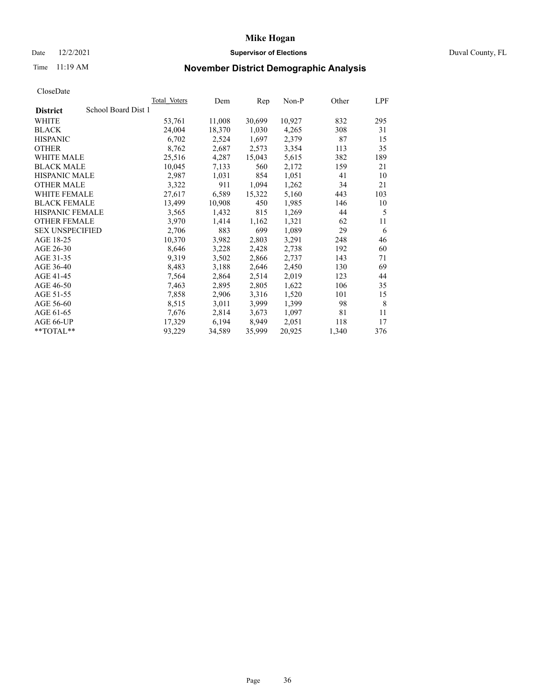### Date 12/2/2021 **Supervisor of Elections Supervisor of Elections** Duval County, FL

## Time 11:19 AM **November District Demographic Analysis**

| School Board Dist 1<br><b>District</b> |        |        |        |        |       |     |
|----------------------------------------|--------|--------|--------|--------|-------|-----|
|                                        |        |        |        |        |       |     |
| WHITE                                  | 53,761 | 11,008 | 30,699 | 10,927 | 832   | 295 |
| <b>BLACK</b>                           | 24,004 | 18,370 | 1,030  | 4,265  | 308   | 31  |
| <b>HISPANIC</b>                        | 6,702  | 2,524  | 1,697  | 2,379  | 87    | 15  |
| <b>OTHER</b>                           | 8,762  | 2,687  | 2,573  | 3,354  | 113   | 35  |
| WHITE MALE                             | 25,516 | 4,287  | 15,043 | 5,615  | 382   | 189 |
| <b>BLACK MALE</b>                      | 10,045 | 7,133  | 560    | 2,172  | 159   | 21  |
| <b>HISPANIC MALE</b>                   | 2,987  | 1,031  | 854    | 1,051  | 41    | 10  |
| <b>OTHER MALE</b>                      | 3,322  | 911    | 1,094  | 1,262  | 34    | 21  |
| WHITE FEMALE                           | 27,617 | 6,589  | 15,322 | 5,160  | 443   | 103 |
| <b>BLACK FEMALE</b>                    | 13,499 | 10,908 | 450    | 1,985  | 146   | 10  |
| HISPANIC FEMALE                        | 3,565  | 1,432  | 815    | 1,269  | 44    | 5   |
| <b>OTHER FEMALE</b>                    | 3,970  | 1,414  | 1,162  | 1,321  | 62    | 11  |
| <b>SEX UNSPECIFIED</b>                 | 2,706  | 883    | 699    | 1,089  | 29    | 6   |
| AGE 18-25                              | 10,370 | 3,982  | 2,803  | 3,291  | 248   | 46  |
| AGE 26-30                              | 8,646  | 3,228  | 2,428  | 2,738  | 192   | 60  |
| AGE 31-35                              | 9,319  | 3,502  | 2,866  | 2,737  | 143   | 71  |
| AGE 36-40                              | 8,483  | 3,188  | 2,646  | 2,450  | 130   | 69  |
| AGE 41-45                              | 7,564  | 2,864  | 2,514  | 2,019  | 123   | 44  |
| AGE 46-50                              | 7,463  | 2,895  | 2,805  | 1,622  | 106   | 35  |
| AGE 51-55                              | 7,858  | 2,906  | 3,316  | 1,520  | 101   | 15  |
| AGE 56-60                              | 8,515  | 3,011  | 3,999  | 1,399  | 98    | 8   |
| AGE 61-65                              | 7,676  | 2,814  | 3,673  | 1,097  | 81    | 11  |
| AGE 66-UP                              | 17,329 | 6,194  | 8,949  | 2,051  | 118   | 17  |
| **TOTAL**                              | 93,229 | 34,589 | 35,999 | 20,925 | 1,340 | 376 |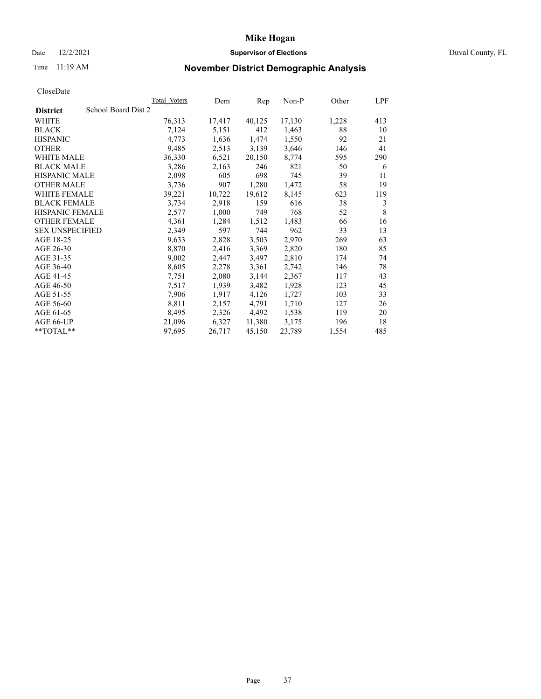### Date 12/2/2021 **Supervisor of Elections Supervisor of Elections** Duval County, FL

## Time 11:19 AM **November District Demographic Analysis**

| Total Voters        | Dem    | Rep    | $Non-P$ | Other | LPF         |
|---------------------|--------|--------|---------|-------|-------------|
| School Board Dist 2 |        |        |         |       |             |
| 76,313              | 17,417 | 40,125 | 17,130  | 1,228 | 413         |
| 7,124               | 5,151  | 412    | 1,463   | 88    | 10          |
| 4,773               | 1,636  | 1,474  | 1,550   | 92    | 21          |
| 9,485               | 2,513  | 3,139  | 3,646   | 146   | 41          |
| 36,330              | 6,521  | 20,150 | 8,774   | 595   | 290         |
| 3,286               | 2,163  | 246    | 821     | 50    | 6           |
| 2,098               | 605    | 698    | 745     | 39    | 11          |
| 3,736               | 907    | 1,280  | 1,472   | 58    | 19          |
| 39,221              | 10,722 | 19,612 | 8,145   | 623   | 119         |
| 3,734               | 2,918  | 159    | 616     | 38    | 3           |
| 2,577               | 1,000  | 749    | 768     | 52    | $\,$ 8 $\,$ |
| 4,361               | 1,284  | 1,512  | 1,483   | 66    | 16          |
| 2,349               | 597    | 744    | 962     | 33    | 13          |
| 9,633               | 2,828  | 3,503  | 2,970   | 269   | 63          |
| 8,870               | 2,416  | 3,369  | 2,820   | 180   | 85          |
| 9,002               | 2,447  | 3,497  | 2,810   | 174   | 74          |
| 8,605               | 2,278  | 3,361  | 2,742   | 146   | 78          |
| 7,751               | 2,080  | 3,144  | 2,367   | 117   | 43          |
| 7,517               | 1,939  | 3,482  | 1,928   | 123   | 45          |
| 7,906               | 1,917  | 4,126  | 1,727   | 103   | 33          |
| 8,811               | 2,157  | 4,791  | 1,710   | 127   | 26          |
| 8,495               | 2,326  | 4,492  | 1,538   | 119   | 20          |
| 21,096              | 6,327  | 11,380 | 3,175   | 196   | 18          |
| 97,695              | 26,717 | 45,150 | 23,789  | 1,554 | 485         |
|                     |        |        |         |       |             |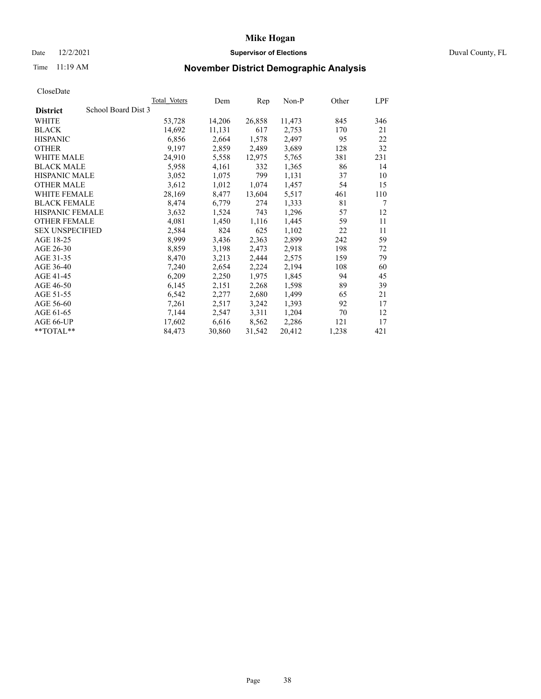### Date 12/2/2021 **Supervisor of Elections Supervisor of Elections** Duval County, FL

## Time 11:19 AM **November District Demographic Analysis**

|                                        | Total Voters | Dem    | Rep    | Non-P  | Other | LPF |
|----------------------------------------|--------------|--------|--------|--------|-------|-----|
| School Board Dist 3<br><b>District</b> |              |        |        |        |       |     |
| WHITE                                  | 53,728       | 14,206 | 26,858 | 11,473 | 845   | 346 |
| <b>BLACK</b>                           | 14,692       | 11,131 | 617    | 2,753  | 170   | 21  |
| <b>HISPANIC</b>                        | 6,856        | 2,664  | 1,578  | 2,497  | 95    | 22  |
| <b>OTHER</b>                           | 9,197        | 2,859  | 2,489  | 3,689  | 128   | 32  |
| WHITE MALE                             | 24,910       | 5,558  | 12,975 | 5,765  | 381   | 231 |
| <b>BLACK MALE</b>                      | 5,958        | 4,161  | 332    | 1,365  | 86    | 14  |
| <b>HISPANIC MALE</b>                   | 3,052        | 1,075  | 799    | 1,131  | 37    | 10  |
| <b>OTHER MALE</b>                      | 3,612        | 1,012  | 1,074  | 1,457  | 54    | 15  |
| <b>WHITE FEMALE</b>                    | 28,169       | 8,477  | 13,604 | 5,517  | 461   | 110 |
| <b>BLACK FEMALE</b>                    | 8,474        | 6,779  | 274    | 1,333  | 81    | 7   |
| <b>HISPANIC FEMALE</b>                 | 3,632        | 1,524  | 743    | 1,296  | 57    | 12  |
| <b>OTHER FEMALE</b>                    | 4,081        | 1,450  | 1,116  | 1,445  | 59    | 11  |
| <b>SEX UNSPECIFIED</b>                 | 2,584        | 824    | 625    | 1,102  | 22    | 11  |
| AGE 18-25                              | 8,999        | 3,436  | 2,363  | 2,899  | 242   | 59  |
| AGE 26-30                              | 8,859        | 3,198  | 2,473  | 2,918  | 198   | 72  |
| AGE 31-35                              | 8,470        | 3,213  | 2,444  | 2,575  | 159   | 79  |
| AGE 36-40                              | 7,240        | 2,654  | 2,224  | 2,194  | 108   | 60  |
| AGE 41-45                              | 6,209        | 2,250  | 1,975  | 1,845  | 94    | 45  |
| AGE 46-50                              | 6,145        | 2,151  | 2,268  | 1,598  | 89    | 39  |
| AGE 51-55                              | 6,542        | 2,277  | 2,680  | 1,499  | 65    | 21  |
| AGE 56-60                              | 7,261        | 2,517  | 3,242  | 1,393  | 92    | 17  |
| AGE 61-65                              | 7,144        | 2,547  | 3,311  | 1,204  | 70    | 12  |
| AGE 66-UP                              | 17,602       | 6,616  | 8,562  | 2,286  | 121   | 17  |
| **TOTAL**                              | 84,473       | 30,860 | 31,542 | 20,412 | 1,238 | 421 |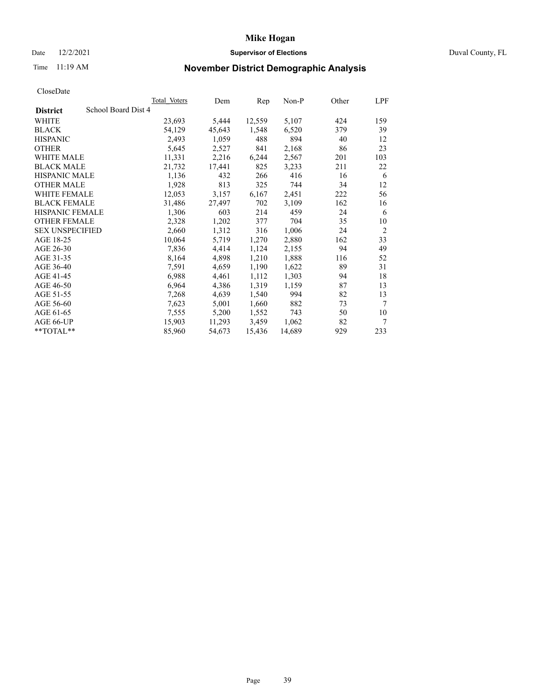### Date 12/2/2021 **Supervisor of Elections Supervisor of Elections** Duval County, FL

## Time 11:19 AM **November District Demographic Analysis**

|                                        | Total Voters | Dem    | Rep    | Non-P  | Other | <b>LPF</b>     |
|----------------------------------------|--------------|--------|--------|--------|-------|----------------|
| School Board Dist 4<br><b>District</b> |              |        |        |        |       |                |
| WHITE                                  | 23,693       | 5,444  | 12,559 | 5,107  | 424   | 159            |
| <b>BLACK</b>                           | 54,129       | 45,643 | 1,548  | 6,520  | 379   | 39             |
| <b>HISPANIC</b>                        | 2,493        | 1,059  | 488    | 894    | 40    | 12             |
| <b>OTHER</b>                           | 5,645        | 2,527  | 841    | 2,168  | 86    | 23             |
| WHITE MALE                             | 11,331       | 2,216  | 6,244  | 2,567  | 201   | 103            |
| <b>BLACK MALE</b>                      | 21,732       | 17,441 | 825    | 3,233  | 211   | 22             |
| <b>HISPANIC MALE</b>                   | 1,136        | 432    | 266    | 416    | 16    | 6              |
| <b>OTHER MALE</b>                      | 1,928        | 813    | 325    | 744    | 34    | 12             |
| <b>WHITE FEMALE</b>                    | 12,053       | 3,157  | 6,167  | 2,451  | 222   | 56             |
| <b>BLACK FEMALE</b>                    | 31,486       | 27,497 | 702    | 3,109  | 162   | 16             |
| HISPANIC FEMALE                        | 1,306        | 603    | 214    | 459    | 24    | 6              |
| <b>OTHER FEMALE</b>                    | 2,328        | 1,202  | 377    | 704    | 35    | 10             |
| <b>SEX UNSPECIFIED</b>                 | 2,660        | 1,312  | 316    | 1,006  | 24    | $\overline{2}$ |
| AGE 18-25                              | 10,064       | 5,719  | 1,270  | 2,880  | 162   | 33             |
| AGE 26-30                              | 7,836        | 4,414  | 1,124  | 2,155  | 94    | 49             |
| AGE 31-35                              | 8,164        | 4,898  | 1,210  | 1,888  | 116   | 52             |
| AGE 36-40                              | 7,591        | 4,659  | 1,190  | 1,622  | 89    | 31             |
| AGE 41-45                              | 6,988        | 4,461  | 1,112  | 1,303  | 94    | 18             |
| AGE 46-50                              | 6,964        | 4,386  | 1,319  | 1,159  | 87    | 13             |
| AGE 51-55                              | 7,268        | 4,639  | 1,540  | 994    | 82    | 13             |
| AGE 56-60                              | 7,623        | 5,001  | 1,660  | 882    | 73    | $\overline{7}$ |
| AGE 61-65                              | 7,555        | 5,200  | 1,552  | 743    | 50    | 10             |
| AGE 66-UP                              | 15,903       | 11,293 | 3,459  | 1,062  | 82    | $\tau$         |
| $*$ $TOTAL**$                          | 85,960       | 54,673 | 15,436 | 14,689 | 929   | 233            |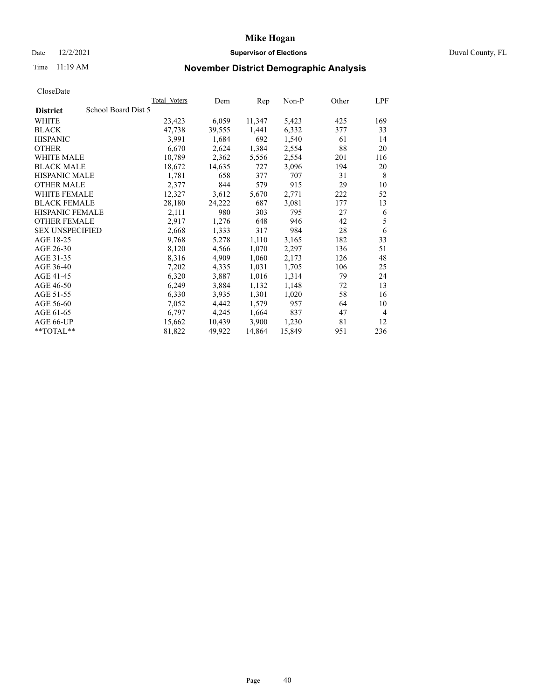### Date 12/2/2021 **Supervisor of Elections Supervisor of Elections** Duval County, FL

## Time 11:19 AM **November District Demographic Analysis**

|                        | <b>Total Voters</b> | Dem    | Rep    | $Non-P$ | Other | LPF            |
|------------------------|---------------------|--------|--------|---------|-------|----------------|
| <b>District</b>        | School Board Dist 5 |        |        |         |       |                |
| WHITE                  | 23,423              | 6,059  | 11,347 | 5,423   | 425   | 169            |
| <b>BLACK</b>           | 47,738              | 39,555 | 1,441  | 6,332   | 377   | 33             |
| <b>HISPANIC</b>        | 3,991               | 1,684  | 692    | 1,540   | 61    | 14             |
| <b>OTHER</b>           | 6,670               | 2,624  | 1,384  | 2,554   | 88    | 20             |
| WHITE MALE             | 10,789              | 2,362  | 5,556  | 2,554   | 201   | 116            |
| <b>BLACK MALE</b>      | 18,672              | 14,635 | 727    | 3,096   | 194   | 20             |
| <b>HISPANIC MALE</b>   | 1,781               | 658    | 377    | 707     | 31    | 8              |
| <b>OTHER MALE</b>      | 2,377               | 844    | 579    | 915     | 29    | 10             |
| <b>WHITE FEMALE</b>    | 12,327              | 3,612  | 5,670  | 2,771   | 222   | 52             |
| <b>BLACK FEMALE</b>    | 28,180              | 24,222 | 687    | 3,081   | 177   | 13             |
| HISPANIC FEMALE        | 2,111               | 980    | 303    | 795     | 27    | 6              |
| <b>OTHER FEMALE</b>    | 2,917               | 1,276  | 648    | 946     | 42    | 5              |
| <b>SEX UNSPECIFIED</b> | 2,668               | 1,333  | 317    | 984     | 28    | 6              |
| AGE 18-25              | 9,768               | 5,278  | 1,110  | 3,165   | 182   | 33             |
| AGE 26-30              | 8,120               | 4,566  | 1,070  | 2,297   | 136   | 51             |
| AGE 31-35              | 8,316               | 4,909  | 1,060  | 2,173   | 126   | 48             |
| AGE 36-40              | 7,202               | 4,335  | 1,031  | 1,705   | 106   | 25             |
| AGE 41-45              | 6,320               | 3,887  | 1,016  | 1,314   | 79    | 24             |
| AGE 46-50              | 6,249               | 3,884  | 1,132  | 1,148   | 72    | 13             |
| AGE 51-55              | 6,330               | 3,935  | 1,301  | 1,020   | 58    | 16             |
| AGE 56-60              | 7,052               | 4,442  | 1,579  | 957     | 64    | 10             |
| AGE 61-65              | 6,797               | 4,245  | 1,664  | 837     | 47    | $\overline{4}$ |
| AGE 66-UP              | 15,662              | 10,439 | 3,900  | 1,230   | 81    | 12             |
| $*$ $TOTAL**$          | 81,822              | 49,922 | 14,864 | 15,849  | 951   | 236            |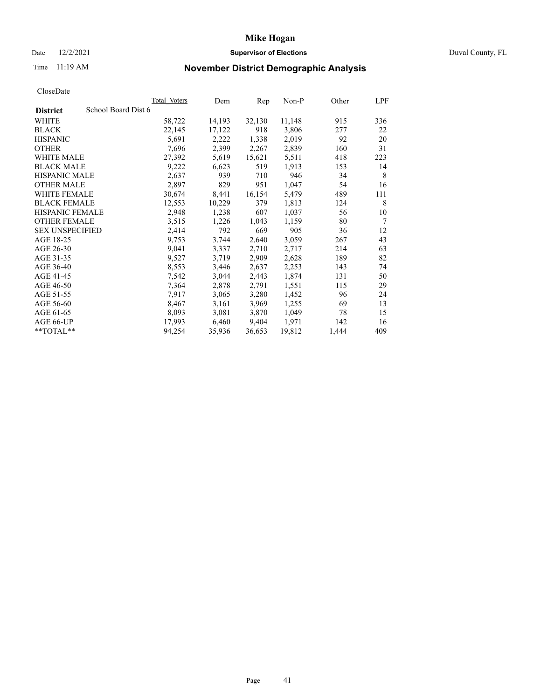### Date 12/2/2021 **Supervisor of Elections** Duval County, FL

## Time 11:19 AM **November District Demographic Analysis**

|                                        | Total Voters | Dem    | Rep    | Non-P  | Other | LPF             |
|----------------------------------------|--------------|--------|--------|--------|-------|-----------------|
| School Board Dist 6<br><b>District</b> |              |        |        |        |       |                 |
| WHITE                                  | 58,722       | 14,193 | 32,130 | 11,148 | 915   | 336             |
| <b>BLACK</b>                           | 22,145       | 17,122 | 918    | 3,806  | 277   | 22              |
| <b>HISPANIC</b>                        | 5,691        | 2,222  | 1,338  | 2,019  | 92    | 20              |
| <b>OTHER</b>                           | 7,696        | 2,399  | 2,267  | 2,839  | 160   | 31              |
| WHITE MALE                             | 27,392       | 5,619  | 15,621 | 5,511  | 418   | 223             |
| <b>BLACK MALE</b>                      | 9,222        | 6,623  | 519    | 1,913  | 153   | 14              |
| <b>HISPANIC MALE</b>                   | 2,637        | 939    | 710    | 946    | 34    | 8               |
| <b>OTHER MALE</b>                      | 2,897        | 829    | 951    | 1,047  | 54    | 16              |
| <b>WHITE FEMALE</b>                    | 30,674       | 8,441  | 16,154 | 5,479  | 489   | 111             |
| <b>BLACK FEMALE</b>                    | 12,553       | 10,229 | 379    | 1,813  | 124   | 8               |
| <b>HISPANIC FEMALE</b>                 | 2,948        | 1,238  | 607    | 1,037  | 56    | 10              |
| <b>OTHER FEMALE</b>                    | 3,515        | 1,226  | 1,043  | 1,159  | 80    | $7\phantom{.0}$ |
| <b>SEX UNSPECIFIED</b>                 | 2,414        | 792    | 669    | 905    | 36    | 12              |
| AGE 18-25                              | 9,753        | 3,744  | 2,640  | 3,059  | 267   | 43              |
| AGE 26-30                              | 9,041        | 3,337  | 2,710  | 2,717  | 214   | 63              |
| AGE 31-35                              | 9,527        | 3,719  | 2,909  | 2,628  | 189   | 82              |
| AGE 36-40                              | 8,553        | 3,446  | 2,637  | 2,253  | 143   | 74              |
| AGE 41-45                              | 7,542        | 3,044  | 2,443  | 1,874  | 131   | 50              |
| AGE 46-50                              | 7,364        | 2,878  | 2,791  | 1,551  | 115   | 29              |
| AGE 51-55                              | 7,917        | 3,065  | 3,280  | 1,452  | 96    | 24              |
| AGE 56-60                              | 8,467        | 3,161  | 3,969  | 1,255  | 69    | 13              |
| AGE 61-65                              | 8,093        | 3,081  | 3,870  | 1,049  | 78    | 15              |
| AGE 66-UP                              | 17,993       | 6,460  | 9,404  | 1,971  | 142   | 16              |
| $*$ TOTAL $*$                          | 94,254       | 35,936 | 36,653 | 19,812 | 1,444 | 409             |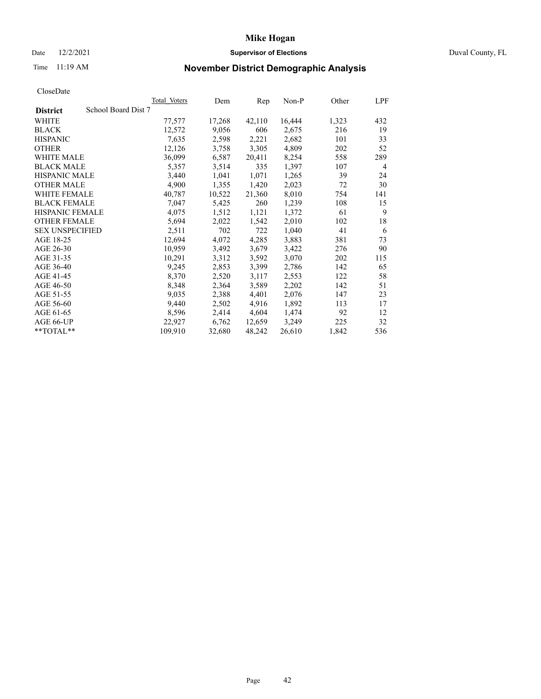### Date 12/2/2021 **Supervisor of Elections Supervisor of Elections** Duval County, FL

## Time 11:19 AM **November District Demographic Analysis**

|                                        | Total Voters | Dem    | Rep    | $Non-P$ | Other | <b>LPF</b>     |
|----------------------------------------|--------------|--------|--------|---------|-------|----------------|
| School Board Dist 7<br><b>District</b> |              |        |        |         |       |                |
| WHITE                                  | 77,577       | 17,268 | 42,110 | 16,444  | 1,323 | 432            |
| <b>BLACK</b>                           | 12,572       | 9,056  | 606    | 2,675   | 216   | 19             |
| <b>HISPANIC</b>                        | 7,635        | 2,598  | 2,221  | 2,682   | 101   | 33             |
| <b>OTHER</b>                           | 12,126       | 3,758  | 3,305  | 4,809   | 202   | 52             |
| WHITE MALE                             | 36,099       | 6,587  | 20,411 | 8,254   | 558   | 289            |
| <b>BLACK MALE</b>                      | 5,357        | 3,514  | 335    | 1,397   | 107   | $\overline{4}$ |
| <b>HISPANIC MALE</b>                   | 3,440        | 1,041  | 1,071  | 1,265   | 39    | 24             |
| <b>OTHER MALE</b>                      | 4,900        | 1,355  | 1,420  | 2,023   | 72    | 30             |
| WHITE FEMALE                           | 40,787       | 10,522 | 21,360 | 8,010   | 754   | 141            |
| <b>BLACK FEMALE</b>                    | 7,047        | 5,425  | 260    | 1,239   | 108   | 15             |
| HISPANIC FEMALE                        | 4,075        | 1,512  | 1,121  | 1,372   | 61    | 9              |
| <b>OTHER FEMALE</b>                    | 5,694        | 2,022  | 1,542  | 2,010   | 102   | 18             |
| <b>SEX UNSPECIFIED</b>                 | 2,511        | 702    | 722    | 1,040   | 41    | 6              |
| AGE 18-25                              | 12,694       | 4,072  | 4,285  | 3,883   | 381   | 73             |
| AGE 26-30                              | 10,959       | 3,492  | 3,679  | 3,422   | 276   | 90             |
| AGE 31-35                              | 10,291       | 3,312  | 3,592  | 3,070   | 202   | 115            |
| AGE 36-40                              | 9,245        | 2,853  | 3,399  | 2,786   | 142   | 65             |
| AGE 41-45                              | 8,370        | 2,520  | 3,117  | 2,553   | 122   | 58             |
| AGE 46-50                              | 8,348        | 2,364  | 3,589  | 2,202   | 142   | 51             |
| AGE 51-55                              | 9,035        | 2,388  | 4,401  | 2,076   | 147   | 23             |
| AGE 56-60                              | 9,440        | 2,502  | 4,916  | 1,892   | 113   | 17             |
| AGE 61-65                              | 8,596        | 2,414  | 4,604  | 1,474   | 92    | 12             |
| AGE 66-UP                              | 22,927       | 6,762  | 12,659 | 3,249   | 225   | 32             |
| **TOTAL**                              | 109,910      | 32,680 | 48,242 | 26,610  | 1,842 | 536            |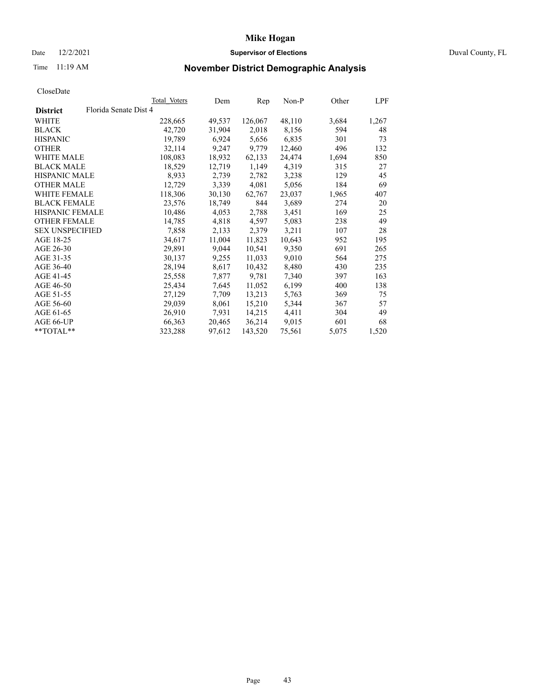### Date 12/2/2021 **Supervisor of Elections** Duval County, FL

# Time 11:19 AM **November District Demographic Analysis**

|                        |                       | Total Voters | Dem    | Rep     | Non-P  | Other | LPF   |
|------------------------|-----------------------|--------------|--------|---------|--------|-------|-------|
| <b>District</b>        | Florida Senate Dist 4 |              |        |         |        |       |       |
| WHITE                  |                       | 228,665      | 49,537 | 126,067 | 48,110 | 3,684 | 1,267 |
| <b>BLACK</b>           |                       | 42,720       | 31,904 | 2,018   | 8,156  | 594   | 48    |
| <b>HISPANIC</b>        |                       | 19,789       | 6,924  | 5,656   | 6,835  | 301   | 73    |
| <b>OTHER</b>           |                       | 32,114       | 9,247  | 9,779   | 12,460 | 496   | 132   |
| WHITE MALE             |                       | 108,083      | 18,932 | 62,133  | 24,474 | 1,694 | 850   |
| <b>BLACK MALE</b>      |                       | 18,529       | 12,719 | 1,149   | 4,319  | 315   | 27    |
| <b>HISPANIC MALE</b>   |                       | 8,933        | 2,739  | 2,782   | 3,238  | 129   | 45    |
| <b>OTHER MALE</b>      |                       | 12,729       | 3,339  | 4,081   | 5,056  | 184   | 69    |
| <b>WHITE FEMALE</b>    |                       | 118,306      | 30,130 | 62,767  | 23,037 | 1,965 | 407   |
| <b>BLACK FEMALE</b>    |                       | 23,576       | 18,749 | 844     | 3,689  | 274   | 20    |
| <b>HISPANIC FEMALE</b> |                       | 10,486       | 4,053  | 2,788   | 3,451  | 169   | 25    |
| <b>OTHER FEMALE</b>    |                       | 14,785       | 4,818  | 4,597   | 5,083  | 238   | 49    |
| <b>SEX UNSPECIFIED</b> |                       | 7,858        | 2,133  | 2,379   | 3,211  | 107   | 28    |
| AGE 18-25              |                       | 34,617       | 11,004 | 11,823  | 10,643 | 952   | 195   |
| AGE 26-30              |                       | 29,891       | 9,044  | 10,541  | 9,350  | 691   | 265   |
| AGE 31-35              |                       | 30,137       | 9,255  | 11,033  | 9,010  | 564   | 275   |
| AGE 36-40              |                       | 28,194       | 8,617  | 10,432  | 8,480  | 430   | 235   |
| AGE 41-45              |                       | 25,558       | 7,877  | 9,781   | 7,340  | 397   | 163   |
| AGE 46-50              |                       | 25,434       | 7,645  | 11,052  | 6,199  | 400   | 138   |
| AGE 51-55              |                       | 27,129       | 7,709  | 13,213  | 5,763  | 369   | 75    |
| AGE 56-60              |                       | 29,039       | 8,061  | 15,210  | 5,344  | 367   | 57    |
| AGE 61-65              |                       | 26,910       | 7,931  | 14,215  | 4,411  | 304   | 49    |
| AGE 66-UP              |                       | 66,363       | 20,465 | 36,214  | 9,015  | 601   | 68    |
| $*$ $TOTAL**$          |                       | 323,288      | 97,612 | 143,520 | 75,561 | 5,075 | 1,520 |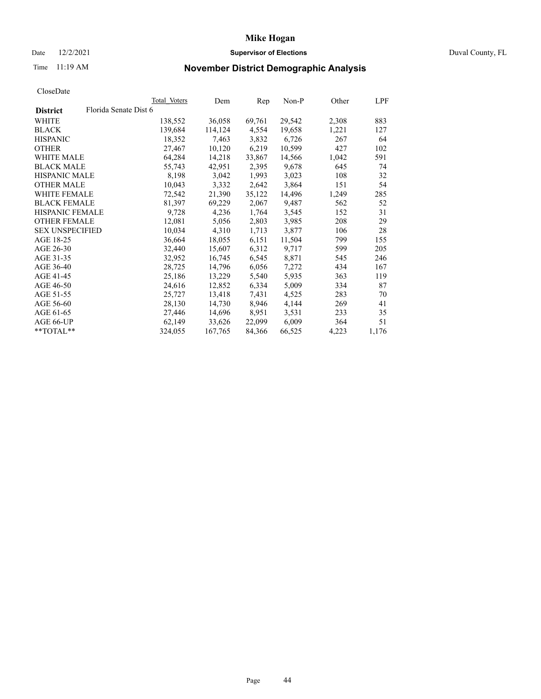### Date 12/2/2021 **Supervisor of Elections** Duval County, FL

## Time 11:19 AM **November District Demographic Analysis**

|                        | Total Voters          | Dem     | Rep    | Non-P  | Other | LPF   |
|------------------------|-----------------------|---------|--------|--------|-------|-------|
| <b>District</b>        | Florida Senate Dist 6 |         |        |        |       |       |
| WHITE                  | 138,552               | 36,058  | 69,761 | 29,542 | 2,308 | 883   |
| <b>BLACK</b>           | 139,684               | 114,124 | 4,554  | 19,658 | 1,221 | 127   |
| <b>HISPANIC</b>        | 18,352                | 7,463   | 3,832  | 6,726  | 267   | 64    |
| <b>OTHER</b>           | 27,467                | 10,120  | 6,219  | 10,599 | 427   | 102   |
| WHITE MALE             | 64,284                | 14,218  | 33,867 | 14,566 | 1,042 | 591   |
| <b>BLACK MALE</b>      | 55,743                | 42,951  | 2,395  | 9,678  | 645   | 74    |
| <b>HISPANIC MALE</b>   | 8,198                 | 3,042   | 1,993  | 3,023  | 108   | 32    |
| <b>OTHER MALE</b>      | 10,043                | 3,332   | 2,642  | 3,864  | 151   | 54    |
| <b>WHITE FEMALE</b>    | 72,542                | 21,390  | 35,122 | 14,496 | 1,249 | 285   |
| <b>BLACK FEMALE</b>    | 81,397                | 69,229  | 2,067  | 9,487  | 562   | 52    |
| <b>HISPANIC FEMALE</b> | 9,728                 | 4,236   | 1,764  | 3,545  | 152   | 31    |
| <b>OTHER FEMALE</b>    | 12,081                | 5,056   | 2,803  | 3,985  | 208   | 29    |
| <b>SEX UNSPECIFIED</b> | 10,034                | 4,310   | 1,713  | 3,877  | 106   | 28    |
| AGE 18-25              | 36,664                | 18,055  | 6,151  | 11,504 | 799   | 155   |
| AGE 26-30              | 32,440                | 15,607  | 6,312  | 9,717  | 599   | 205   |
| AGE 31-35              | 32,952                | 16,745  | 6,545  | 8,871  | 545   | 246   |
| AGE 36-40              | 28,725                | 14,796  | 6,056  | 7,272  | 434   | 167   |
| AGE 41-45              | 25,186                | 13,229  | 5,540  | 5,935  | 363   | 119   |
| AGE 46-50              | 24,616                | 12,852  | 6,334  | 5,009  | 334   | 87    |
| AGE 51-55              | 25,727                | 13,418  | 7,431  | 4,525  | 283   | 70    |
| AGE 56-60              | 28,130                | 14,730  | 8,946  | 4,144  | 269   | 41    |
| AGE 61-65              | 27,446                | 14,696  | 8,951  | 3,531  | 233   | 35    |
| AGE 66-UP              | 62,149                | 33,626  | 22,099 | 6,009  | 364   | 51    |
| $*$ TOTAL $*$          | 324,055               | 167,765 | 84,366 | 66,525 | 4,223 | 1,176 |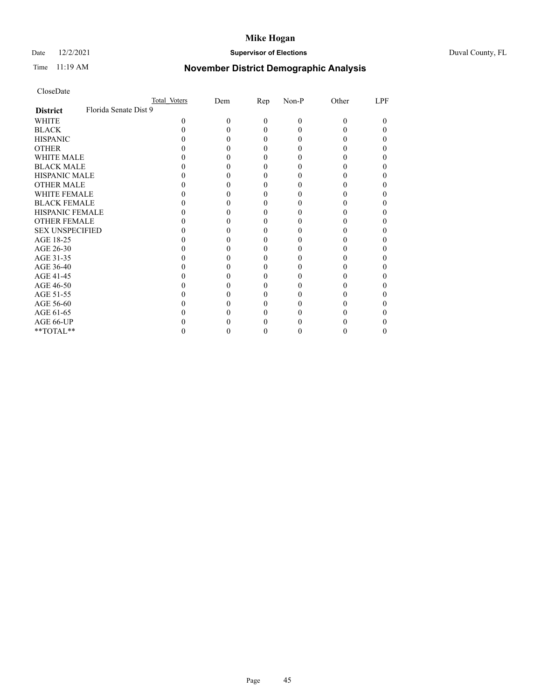### Date 12/2/2021 **Supervisor of Elections** Duval County, FL

## Time 11:19 AM **November District Demographic Analysis**

|                        | Total Voters          | Dem | Rep | Non-P | Other | LPF |
|------------------------|-----------------------|-----|-----|-------|-------|-----|
| <b>District</b>        | Florida Senate Dist 9 |     |     |       |       |     |
| WHITE                  | 0                     |     | 0   | 0     | 0     |     |
| <b>BLACK</b>           |                       |     |     |       |       |     |
| <b>HISPANIC</b>        |                       |     |     |       |       |     |
| <b>OTHER</b>           |                       |     |     |       |       |     |
| <b>WHITE MALE</b>      |                       |     |     |       |       |     |
| <b>BLACK MALE</b>      |                       |     |     |       |       |     |
| <b>HISPANIC MALE</b>   |                       |     |     |       |       |     |
| <b>OTHER MALE</b>      |                       |     |     |       |       |     |
| <b>WHITE FEMALE</b>    |                       |     |     |       |       |     |
| <b>BLACK FEMALE</b>    |                       |     |     |       |       |     |
| <b>HISPANIC FEMALE</b> |                       |     |     |       |       |     |
| <b>OTHER FEMALE</b>    |                       |     |     |       |       |     |
| <b>SEX UNSPECIFIED</b> |                       |     |     |       |       |     |
| AGE 18-25              |                       |     |     |       |       |     |
| AGE 26-30              |                       |     |     |       |       |     |
| AGE 31-35              |                       |     |     |       |       |     |
| AGE 36-40              |                       |     |     |       |       |     |
| AGE 41-45              |                       |     |     |       |       |     |
| AGE 46-50              |                       |     |     |       |       |     |
| AGE 51-55              |                       |     |     |       |       |     |
| AGE 56-60              |                       |     |     |       |       |     |
| AGE 61-65              |                       |     |     |       |       |     |
| AGE 66-UP              |                       |     |     |       |       |     |
| **TOTAL**              |                       |     |     |       |       |     |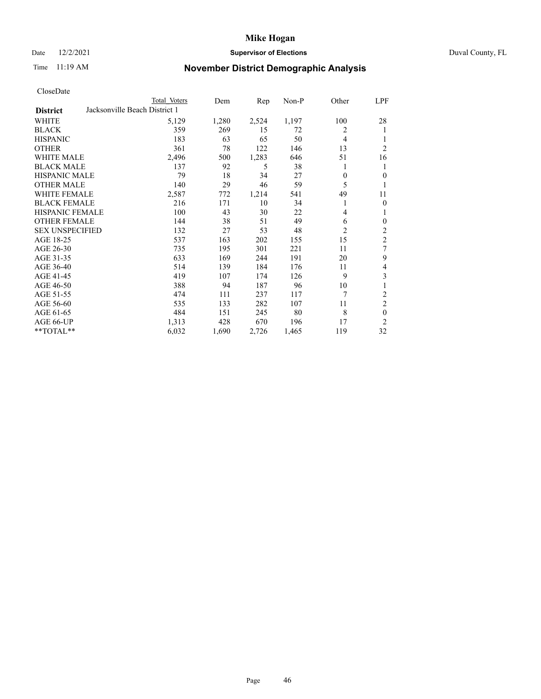### Date 12/2/2021 **Supervisor of Elections Supervisor of Elections** Duval County, FL

## Time 11:19 AM **November District Demographic Analysis**

|                        |                               | Total Voters | Dem   | Rep   | $Non-P$ | Other          | <u>LPF</u>       |
|------------------------|-------------------------------|--------------|-------|-------|---------|----------------|------------------|
| <b>District</b>        | Jacksonville Beach District 1 |              |       |       |         |                |                  |
| WHITE                  |                               | 5,129        | 1,280 | 2,524 | 1,197   | 100            | 28               |
| <b>BLACK</b>           |                               | 359          | 269   | 15    | 72      | 2              | 1                |
| <b>HISPANIC</b>        |                               | 183          | 63    | 65    | 50      | 4              | 1                |
| <b>OTHER</b>           |                               | 361          | 78    | 122   | 146     | 13             | $\overline{2}$   |
| <b>WHITE MALE</b>      |                               | 2,496        | 500   | 1,283 | 646     | 51             | 16               |
| <b>BLACK MALE</b>      |                               | 137          | 92    | 5     | 38      | 1              | 1                |
| <b>HISPANIC MALE</b>   |                               | 79           | 18    | 34    | 27      | $\mathbf{0}$   | $\overline{0}$   |
| <b>OTHER MALE</b>      |                               | 140          | 29    | 46    | 59      | 5              | 1                |
| <b>WHITE FEMALE</b>    |                               | 2,587        | 772   | 1,214 | 541     | 49             | 11               |
| <b>BLACK FEMALE</b>    |                               | 216          | 171   | 10    | 34      | 1              | $\overline{0}$   |
| <b>HISPANIC FEMALE</b> |                               | 100          | 43    | 30    | 22      | 4              | 1                |
| <b>OTHER FEMALE</b>    |                               | 144          | 38    | 51    | 49      | 6              | $\boldsymbol{0}$ |
| <b>SEX UNSPECIFIED</b> |                               | 132          | 27    | 53    | 48      | $\overline{c}$ | $\sqrt{2}$       |
| AGE 18-25              |                               | 537          | 163   | 202   | 155     | 15             | $\overline{c}$   |
| AGE 26-30              |                               | 735          | 195   | 301   | 221     | 11             | 7                |
| AGE 31-35              |                               | 633          | 169   | 244   | 191     | 20             | 9                |
| AGE 36-40              |                               | 514          | 139   | 184   | 176     | 11             | 4                |
| AGE 41-45              |                               | 419          | 107   | 174   | 126     | 9              | 3                |
| AGE 46-50              |                               | 388          | 94    | 187   | 96      | 10             | $\mathbf{1}$     |
| AGE 51-55              |                               | 474          | 111   | 237   | 117     | 7              | $\overline{c}$   |
| AGE 56-60              |                               | 535          | 133   | 282   | 107     | 11             | $\overline{2}$   |
| AGE 61-65              |                               | 484          | 151   | 245   | 80      | 8              | $\theta$         |
| AGE 66-UP              |                               | 1,313        | 428   | 670   | 196     | 17             | $\overline{2}$   |
| **TOTAL**              |                               | 6,032        | 1,690 | 2,726 | 1,465   | 119            | 32               |
|                        |                               |              |       |       |         |                |                  |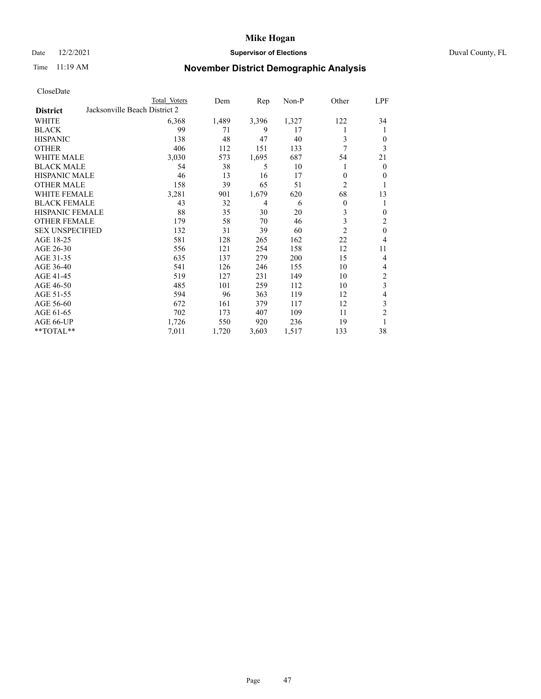### Date 12/2/2021 **Supervisor of Elections** Duval County, FL

## Time 11:19 AM **November District Demographic Analysis**

|                        | Total Voters                  | Dem   | Rep   | Non-P | Other          | LPF              |
|------------------------|-------------------------------|-------|-------|-------|----------------|------------------|
| <b>District</b>        | Jacksonville Beach District 2 |       |       |       |                |                  |
| WHITE                  | 6,368                         | 1,489 | 3,396 | 1,327 | 122            | 34               |
| <b>BLACK</b>           | 99                            | 71    | 9     | 17    | 1              | 1                |
| <b>HISPANIC</b>        | 138                           | 48    | 47    | 40    | 3              | $\overline{0}$   |
| <b>OTHER</b>           | 406                           | 112   | 151   | 133   | 7              | 3                |
| <b>WHITE MALE</b>      | 3,030                         | 573   | 1,695 | 687   | 54             | 21               |
| <b>BLACK MALE</b>      | 54                            | 38    | 5     | 10    | 1              | $\overline{0}$   |
| <b>HISPANIC MALE</b>   | 46                            | 13    | 16    | 17    | $\theta$       | $\overline{0}$   |
| <b>OTHER MALE</b>      | 158                           | 39    | 65    | 51    | $\overline{2}$ | 1                |
| <b>WHITE FEMALE</b>    | 3,281                         | 901   | 1,679 | 620   | 68             | 13               |
| <b>BLACK FEMALE</b>    | 43                            | 32    | 4     | 6     | $\theta$       | 1                |
| <b>HISPANIC FEMALE</b> | 88                            | 35    | 30    | 20    | 3              | $\overline{0}$   |
| <b>OTHER FEMALE</b>    | 179                           | 58    | 70    | 46    | 3              | $\overline{2}$   |
| <b>SEX UNSPECIFIED</b> | 132                           | 31    | 39    | 60    | $\overline{2}$ | $\theta$         |
| AGE 18-25              | 581                           | 128   | 265   | 162   | 22             | $\overline{4}$   |
| AGE 26-30              | 556                           | 121   | 254   | 158   | 12             | 11               |
| AGE 31-35              | 635                           | 137   | 279   | 200   | 15             | $\overline{4}$   |
| AGE 36-40              | 541                           | 126   | 246   | 155   | 10             | 4                |
| AGE 41-45              | 519                           | 127   | 231   | 149   | 10             | $\boldsymbol{2}$ |
| AGE 46-50              | 485                           | 101   | 259   | 112   | 10             | 3                |
| AGE 51-55              | 594                           | 96    | 363   | 119   | 12             | $\overline{4}$   |
| AGE 56-60              | 672                           | 161   | 379   | 117   | 12             | 3                |
| AGE 61-65              | 702                           | 173   | 407   | 109   | 11             | $\overline{2}$   |
| AGE 66-UP              | 1,726                         | 550   | 920   | 236   | 19             | 1                |
| **TOTAL**              | 7,011                         | 1,720 | 3,603 | 1,517 | 133            | 38               |